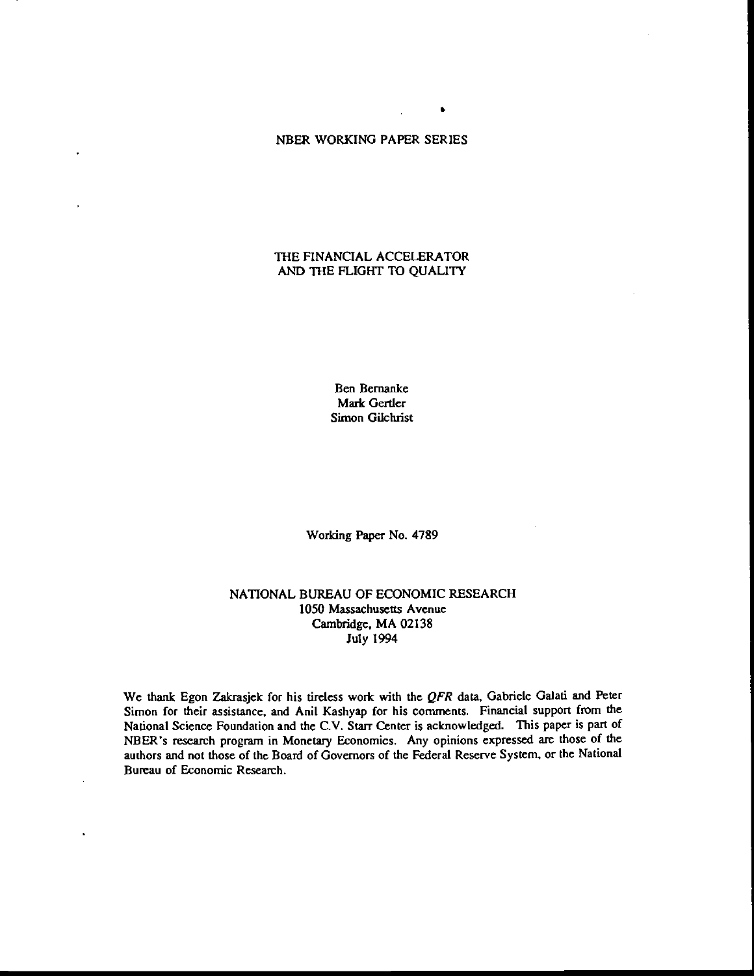## NBER WORKING PAPER SERIES

**S** *Service* Service

# 'THE FINANCIAL ACCELERATOR AND THE FLIGHT TO QUALITY

Ben Bernanke Mark Gertler Simon Gilchrist

Working Paper No. 4789

## NATIONAL BUREAU OF ECONOMIC RESEARCH 1050 Massachusetts Avenue Cambridge, MA 02138 July 1994

We thank Egon Zakrasjek for his tireless work with the QFR data, Gabriele Galati and Peter Simon for their assistance, and Anil Kashyap for his comments. Financial support from the National Science Foundation and the C.V. Starr Center is acknowledged. This paper is part of NBER's research program in Monetary Economics. Any opinions expressed are those of the authors and not those of the Board of Governors of the Federal Reserve System, or the National Bureau of Economic Research.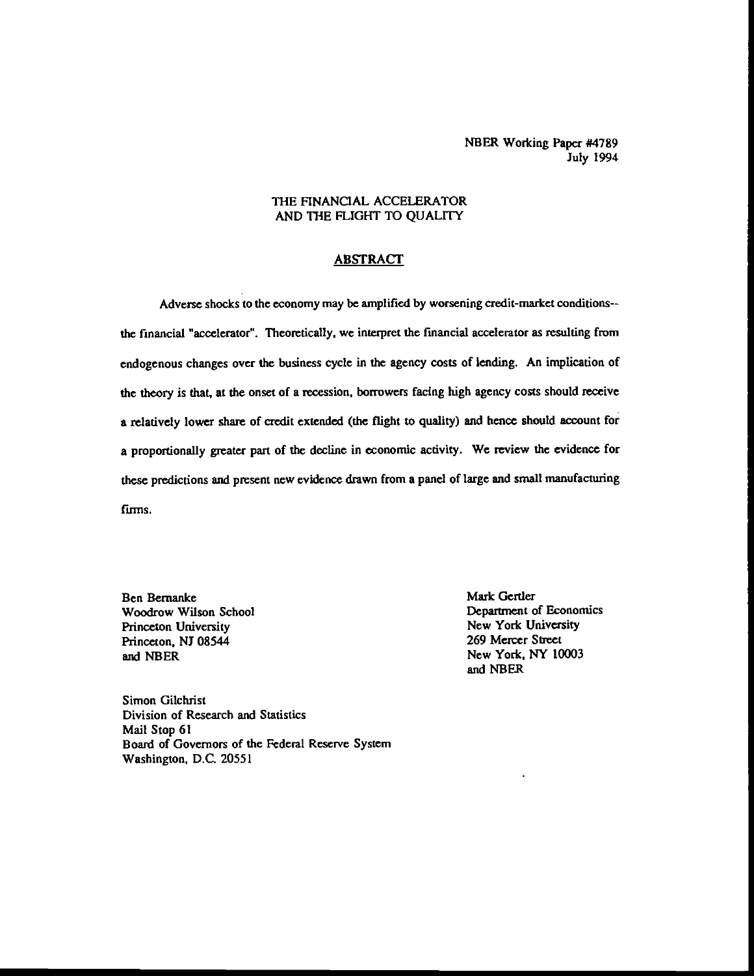NEER Working Paper #4789 July 1994

## THE FINANCIAL ACCELERATOR AND THE FLIGHT TO QUALITY

## ABSTRACT

Adverse shocks to the economy may be amplified by worsening credit-market conditions- the financial "accelerator". Theoretically, we interpret the financial accelerator as resulting (mm endogenous changes over the business cycle in the agency costs of lending. An implication of the theory is that, at the onset of a recession, borrowers facing high agency costs should receive a relatively lower share of credit extended (the flight to quality) and hence should account for a proportionally greater part of the decline in economic activity. We review the evidence for these predictions and present new evidence drawn from a panel of large and small manufacturing firms.

Woodrow Wilson School **Department of Economics**<br>
Princeton University<br>
Princeton University Princeton University New York University<br>
Princeton NI 08544 269 Mercer Street Princeton, NJ 08544 and NBER New York, NY 10003

Ben Bernanke<br>
Woodrow Wilson School<br>
Woodrow Wilson School<br>
Mark Gertler<br>
Department of Economics and NBER

Simon Oilchrist Division of Research and Statistics Mail Stop 61 Board of Governors of the Federal Reserve System Washington, D.C. 20551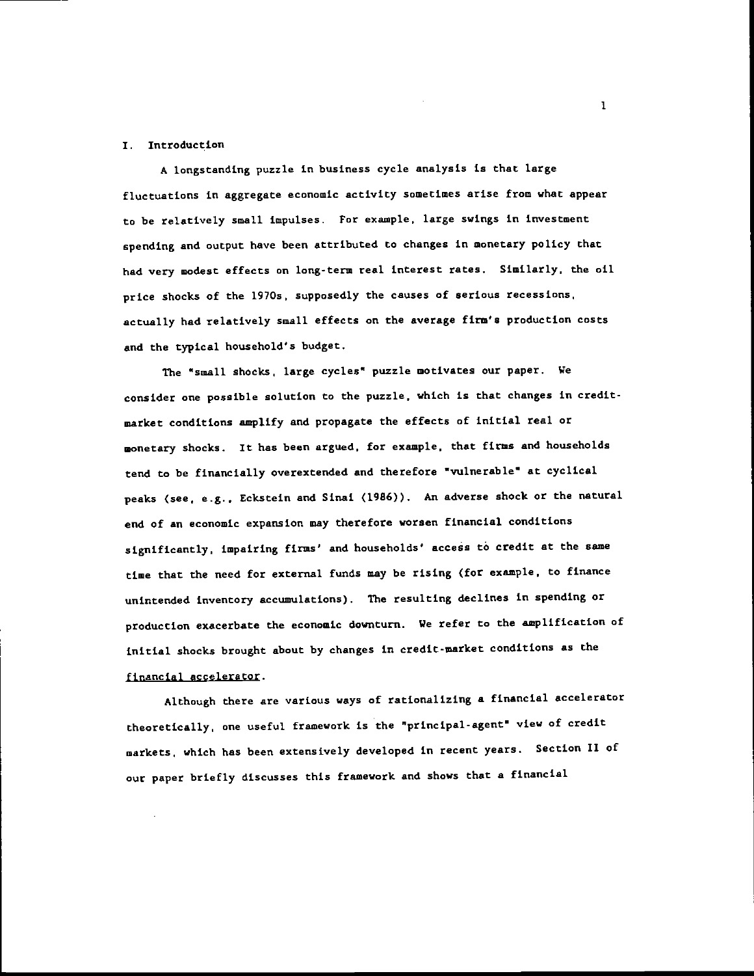#### I. Introduction

A longstanding puzzle in business cycle analysis is that large fluctuations in aggregate economic activity sometimes arise from what appear to be relatively small impulses. For example, large swings in investment spending and output have been attributed to changes in monetary policy that had very modest effects on long-term real interest rates. Similarly, the oil price shocks of the l9?Os, supposedly the causes of serious recessions, actually had relatively small effects on the average firm's production costs and the typical household's budget.

The "small shocks, large cycles" puzzle motivates our paper. We consider one possible solution to the puzzle, which is that changes in creditmarket conditions amplify and propagate the effects of initial real or monetary shocks. It has been argued, for example, that firms and households tend to be financially overextended and therefore "vulnerable" at cyclical peaks (see, e.g., Eckstein and Sinai <1986)). An adverse shock or the natural end of an economic expansion may therefore worsen financial conditions significantly, impairing firms' and households' access to credit at the same time that the need for external funds may be rising (for example, to finance unintended inventory accumulations). The resulting declines in spending or production exacerbate the economic downturn. We refer to the amplification of initial shocks brought about by changes in credit-market conditions as the financial accelerator.

Although there are various ways of rationalizing a financial accelerator theoretically, one useful framework is the "principal-agent" view of credit markets, which has been extensively developed in recent years. Section II of our paper briefly discusses this framework and shows that a financial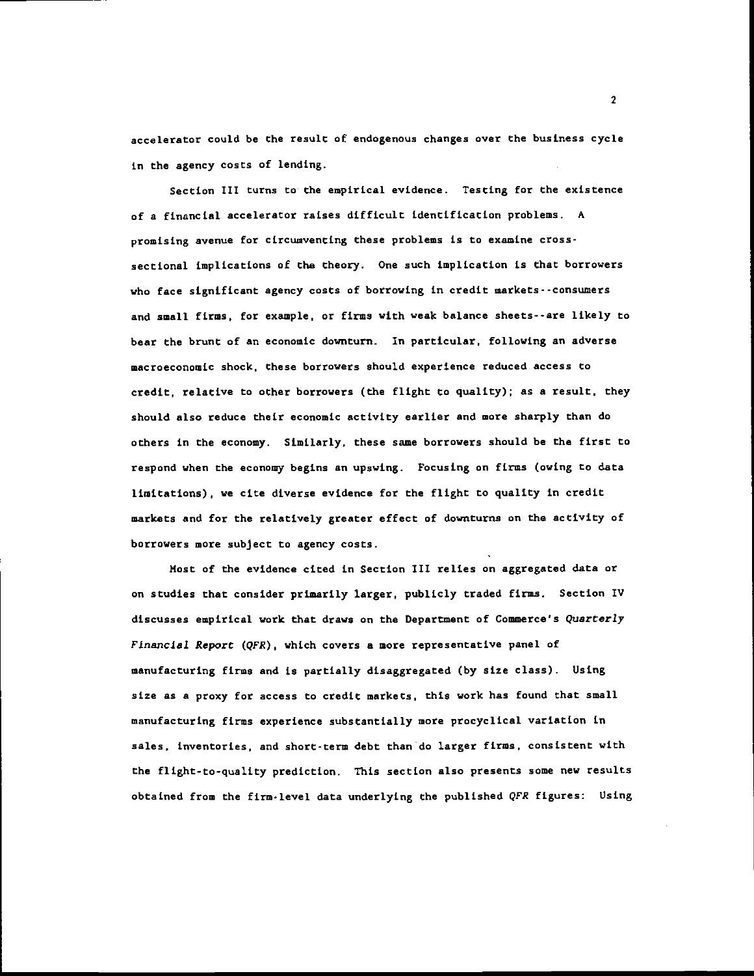accelerator could be the result of endogenous changes over the business cycle in the agency costs of lending.

Section III turns to the empirical evidence. Testing for the existence of a financial accelerator raises difficult identification problems. A promising avenue for circumventing these problems is to examine crosssectional implications of the theory. One such implication is that borrowers who face significant agency costs of borrowing in credit markets -- consumers and small firms, for example, or firms with weak balance sheets--are likely to bear the brunt of an economic downturn. In particular, following an adverse macroeconomic shock, these borrowers should experience reduced access to credit, relative to other borrowers (the flight to quality); as a result, they should also reduce their economic activity earlier and more sharply than do others in the economy. Similarly, these same borrowers should be the first to respond when the economy begins an upswing. Focusing on firms (owing to data limitations), we cite diverse evidence for the flight to quality in credit markets and for the relatively greater effect of downturns on the activity of borrowers more subject to agency costs.

Most of the evidence cited in Section III relies on aggregated data or on studies that consider primarily larger, publicly traded firms. Section IV discusses empirical work that draws on the Department of Commerce's Quarterly Financial Report (QFR), which covers a more representative panel of manufacturing firms and is partially disaggregated (by size class). Using size as a proxy for access to credit markets, this work has found that small manufacturing firms experience substantially more procyclical variation in sales, inventories, and short-term debt than do larger firms, consistent with the flight-to-quality prediction. This section also presents some new results obtained from the firm-level data underlying the published QFR figures: Using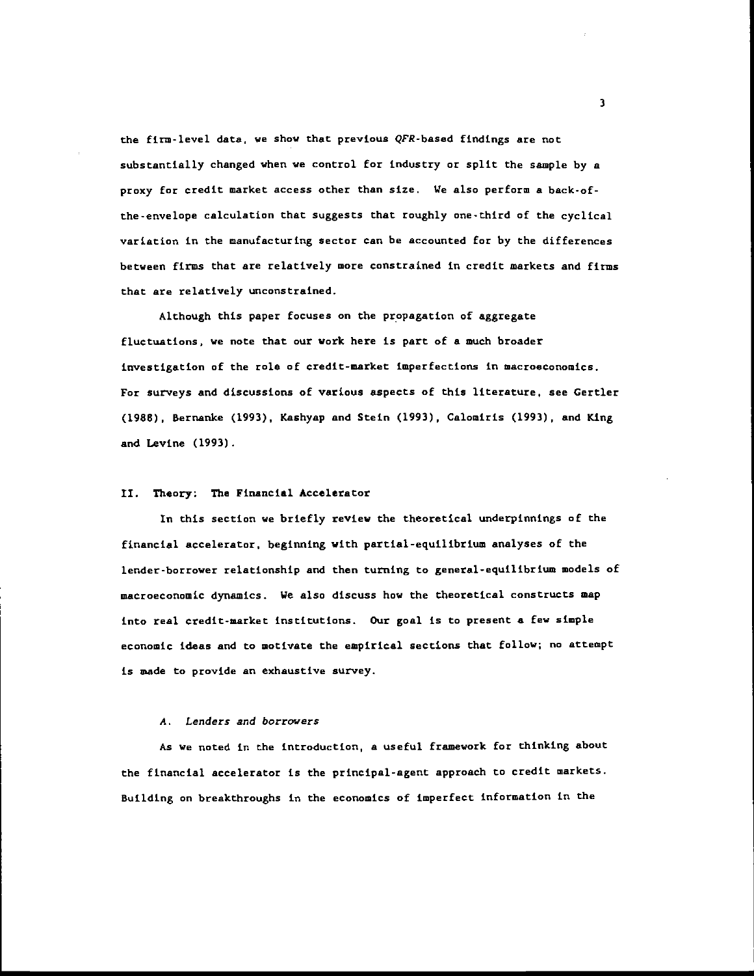the firm-level data, we show that previous QFR-based findings are not substantially changed when we control for industry or split the sample by a proxy for credit market access other than size. We also perform a back-ofthe-envelope calculation that suggests that roughly one-third of the cyclical variation in the manufacturing sector can be accounted for by the differences between firms that are relatively more constrained in credit markets and firms that are relatively unconstrained.

Although this paper focuses on the propagation of aggregate fluctuations, we note that our work here is part of a much broader investigation of the role of credit-market imperfections in macroeconomics. For surveys and discussions of various aspects of this literature, see Certler (1988), Bernanlce (1993), Kashyap and Stein (1993), Calomiris (1993), and King and Levine (1993).

#### IL Theory: The Financial Accelerator

In this section we briefly review the theoretical underpinnings of the financial accelerator, beginning with partial-equilibrium analyses of the lender-borrower relationship and then turning to general-equilibrium models of macroeconomic dynamics. We also discuss how the theoretical constructs map into real credit-market institutions. Our goal is to present a few simple economic ideas and to motivate the empirical sections that follow; no attempt is made to provide an exhaustive survey.

## A. Lenders and borrowers

As we noted in the introduction, a useful framework for thinking about the financial accelerator is the principal-agent approach to credit markets. Building on breakthroughs in the economics of imperfect information in the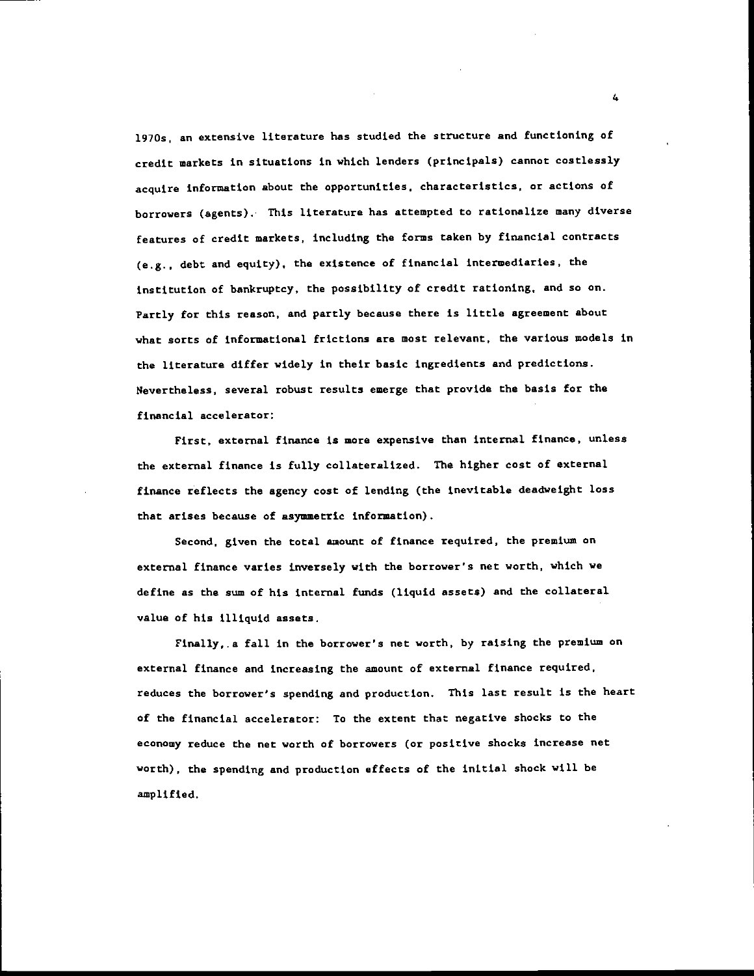l9lOs, an extensive literature has studied the structure and functioning of credit markets in situations in which lenders (principals) cannot costlessly acquire information about the opportunities, characteristics, or actions of borrowers (agents). This literature has attempted to rationalize many diverse features of credit markets, including the forms taken by financial contracts (e.g.. debt and equity), the existence of financial intermediaries, the institution of bankruptcy, the possibility of credit rationing, and so on. Partly for this reason, and partly because there is little agreement about what sorts of informational frictions are most relevant, the various models in the literature differ widely in their basic ingredients and predictions. Nevertheless, several robust results emerge that provide the basis for the financial accelerator:

First, external finance is more expensive than internal finance, unless the external finance is fully collateralized. The higher cost of external finance reflects the agency cost of lending (the inevitable deadweight loss that arises because of asymmetric information).

Second, given the total amount of finance required, the premium on external finance varies inversely with the borrower's net worth, which we define as the sum of his internal funds (liquid assets) and the collateral value of his illiquid assets.

Finally,, a fall in the borrower's net worth, by raising the premium on external finance and increasing the amount of external finance required. reduces the borrower's spending and production. This last result is the heart of the financial accelerator: To the extent that negative shocks to the economy reduce the net worth of borrowers (or positive shocks increase net worth), the spending and production effects of the initial shock will be amplified.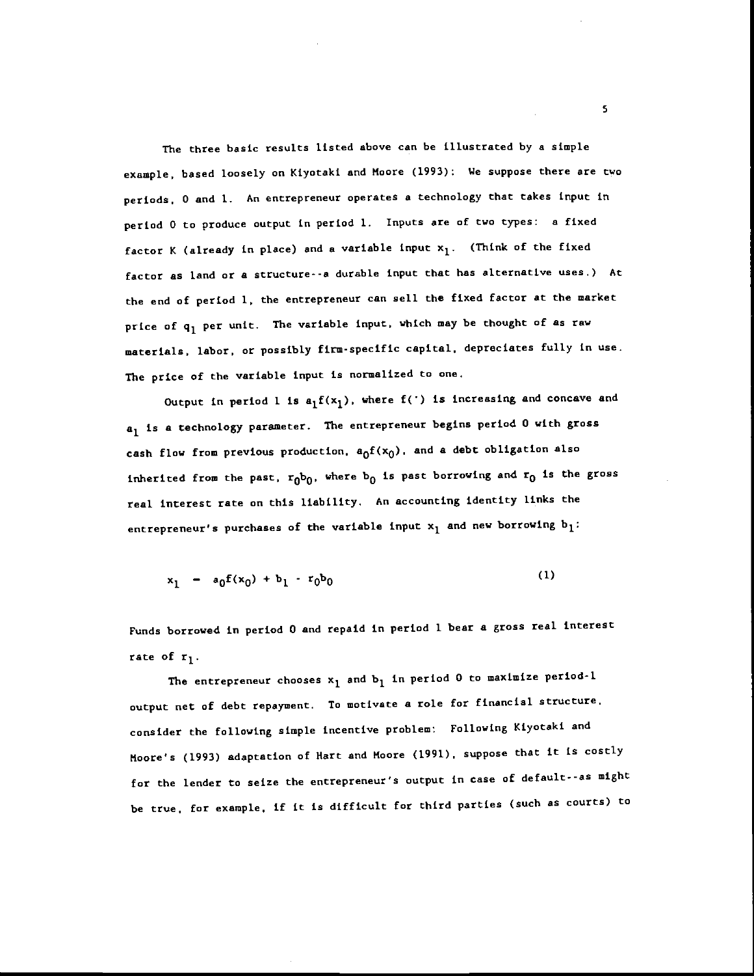The three baste results listed above can be illustrated by a simple example, based loosely on Kiyotaki and Moore (1993): We suppose there are two periods. 0 and 1. An entrepreneur operates a technology that takes input in period 0 to produce output in period 1. Inputs are of two types: a fixed factor K (already in place) and a variable input  $x_1$ . (Think of the fixed factor as land or a structure--a durable input that has alternative uses.) At the end of period 1, the entrepreneur can sell the fixed factor at the market price of  $q_1$  per unit. The variable input, which may be thought of as raw materials, labor, or possibly firm-specific capital, depreciates fully in use. The price of the variable input is normalized to one.

Output in period 1 is  $a_1f(x_1)$ , where  $f(')$  is increasing and concave and  $a_1$  is a technology parameter. The entrepreneur begins period 0 with gross cash flow from previous production,  $a_0f(x_0)$ , and a debt obligation also inherited from the past,  $r_0b_0$ , where  $b_0$  is past borrowing and  $r_0$  is the gross real interest rate on this liability. An accounting identity links the entrepreneur's purchases of the variable input  $x_1$  and new borrowing  $b_1$ :

$$
x_1 - a_0 f(x_0) + b_1 - r_0 b_0 \tag{1}
$$

Funds borrowed in period 0 and repaid in period I bear a gross real interest rate of  $r_1$ .

The entrepreneur chooses  $x_1$  and  $b_1$  in period 0 to maximize period-l output net of debt repayment. To motivate a role for financial structure. consider the following simple incentive problem: Following Kiyotaki and Moore's (1993) adaptation of Hart and Moore (1991), suppose that it is costly for the lender to seize the entrepreneur's output in case of default--as might be true, for example, if it is difficult for third parties (such as courts) to

S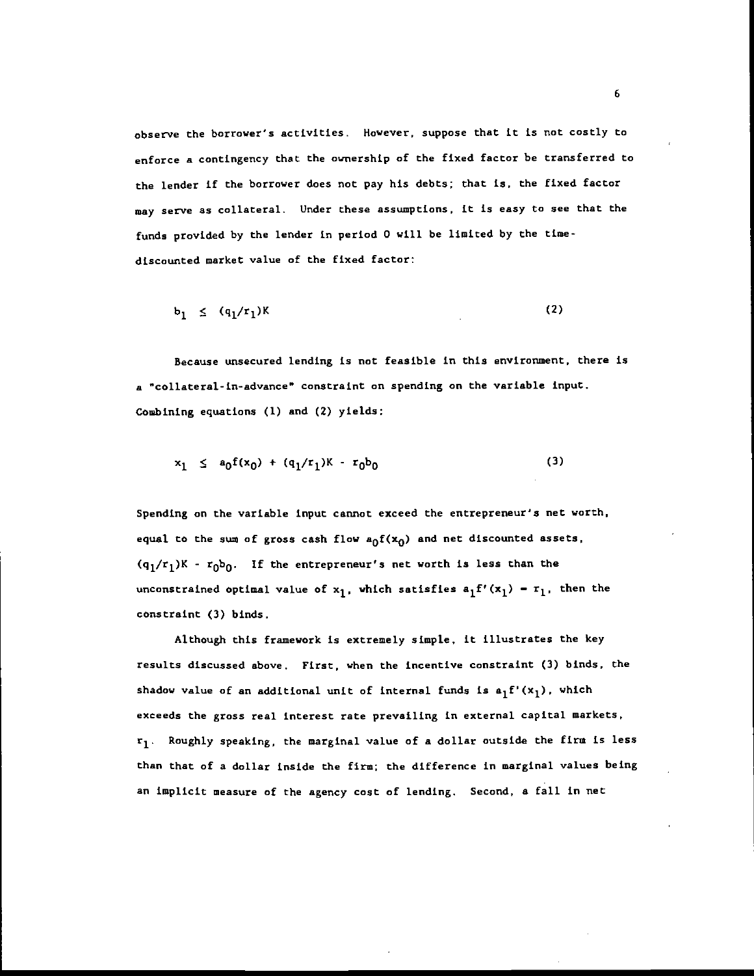observe the borrower's activities. However, suppose that it is not costly to enforce a contingency that the ownership of the fixed factor be transferred to the lender if the borrower does not pay his debts; that is, the fixed factor may serve as collateral. Under these assumptions, it is easy to see that the funds provided by the lender in period 0 will be limited by the timediscounted market value of the fixed factor;

$$
b_1 \leq (q_1/r_1)K \tag{2}
$$

Because unsecured lending is not feasible in this environment, there is a "collateral-in-advance" constraint on spending on the variable input. Combining equations (I) and (2) yields:

$$
x_1 \leq a_0 f(x_0) + (q_1/r_1)K - r_0b_0 \tag{3}
$$

Spending on the variable input cannot exceed the entrepreneur's net worth, equal to the sum of gross cash flow  $a_0f(x_0)$  and net discounted assets,  $(q_1/r_1)K - r_0b_0$ . If the entrepreneur's net worth is less than the unconstrained optimal value of  $x_1$ , which satisfies  $a_1f'(x_1) - r_1$ , then the constraint (3) binds.

Although this framework is extremely simple, it illustrates the key results discussed above. First, when the incentive constraint (3) binds, the shadow value of an additional unit of internal funds is  $a_1f'(x_1)$ , which exceeds the gross real interest rate prevailing in external capital markets,  $r_1$ . Roughly speaking, the marginal value of a dollar outside the firm is less than that of a dollar inside the firm; the difference in marginal values being an implicit measure of the agency cost of lending. Second, a fall in net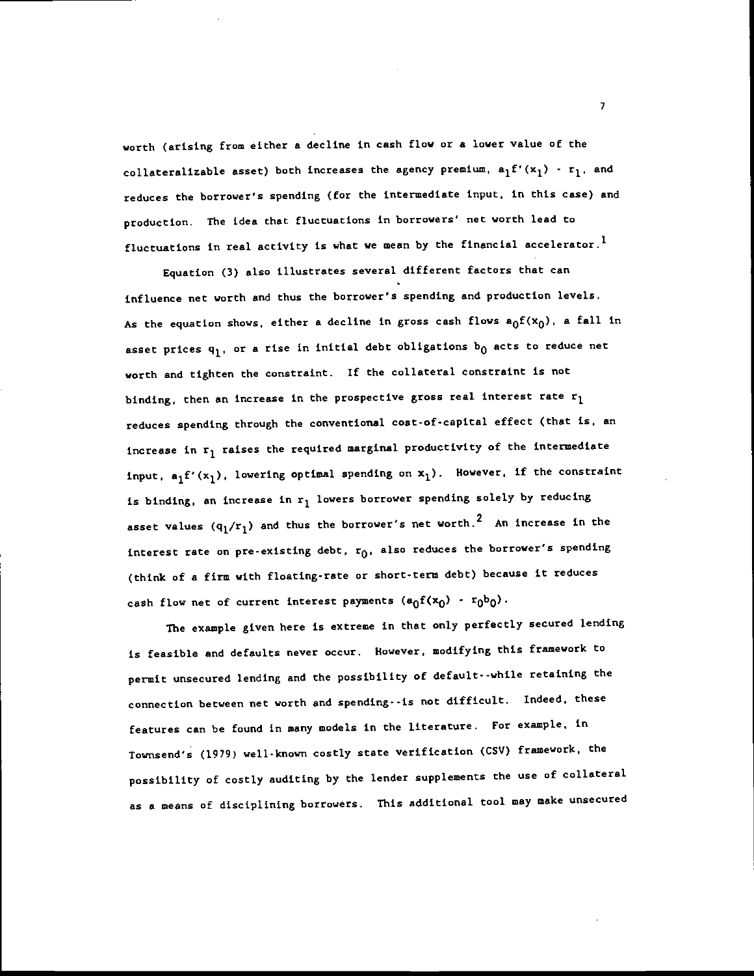worth (arising from either a decline in cash flow or a lower value of the collateralizable asset) both increases the agency premium,  $a_1f'(x_1) - r_1$ , and reduces the borrower's spending (for the intermediate input, in this case) and production. The idea that fluctuations in borrowers' net worth lead to fluctuations in real activity is what we mean by the financial accelerator.<sup>1</sup>

Equation (3) also illustrates several different factors that can influence net worth and thus the borrower's spending and production levels, As the equation shows, either a decline in gross cash flows  $a_0f(x_0)$ , a fall in asset prices  $q_1$ , or a rise in initial debt obligations  $b_0$  acts to reduce net worth and tighten the constraint. If the collateral constraint is not binding, then an increase in the prospective gross real interest rate  $r_1$ reduces spending through the conventional cost-of-capital effect (that is, an increase in  $r_1$  raises the required marginal productivity of the intermediate input,  $a_1f'(x_1)$ , lowering optimal spending on  $x_1$ ). However, if the constraint is binding, an increase in  $r_1$  lowers borrower spending solely by reducing asset values  $\left({\bf q}_1/{\bf r}_1\right)$  and thus the borrower's net worth.<sup>2</sup> An increase in the interest rate on pre-existing debt,  $r_0$ , also reduces the borrower's spending (think of a firm with floating-rate or short-term debt) because it reduces cash flow net of current interest payments  $(a_0f(x_0) - r_0b_0)$ .

The example given here is extreme in that only perfectly secured lending is feasible and defaults never occur. However, modifying this framework to permit unsecured lending and the possibility of default- -while retaining the connection between net worth and spending--is not difficult. Indeed, these features can be found in many models in the literature. For example, in Townsend's (1979) well-known costly state verification (CSV) framework, the possibility of costly auditing by the lender supplements the use of collateral as a means of disciplining borrowers, This additional tool may make unsecured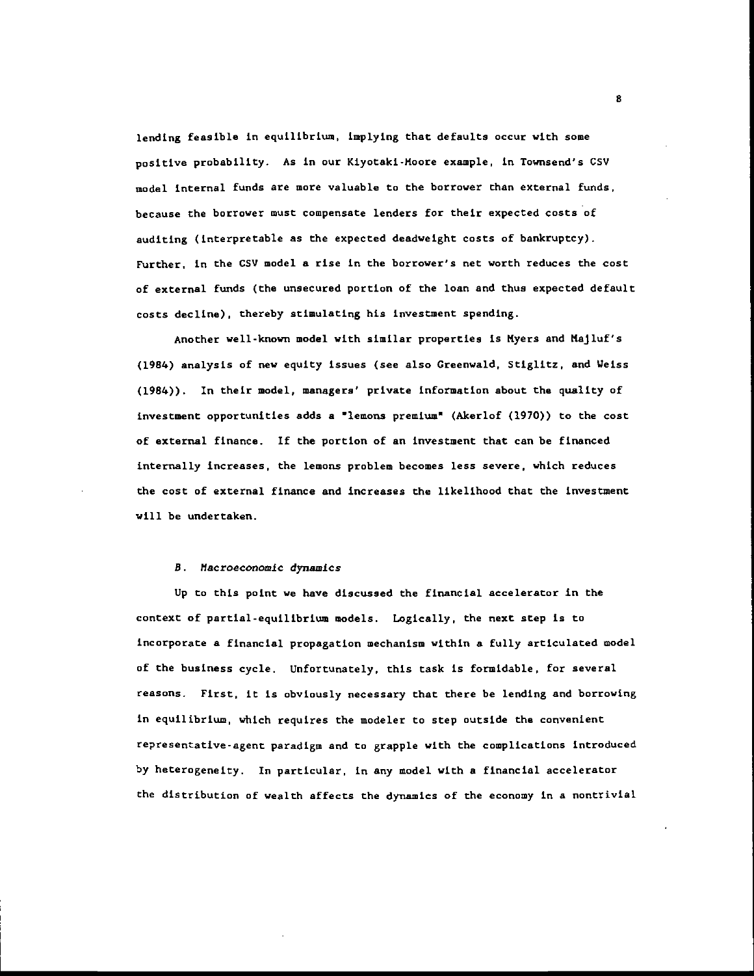lending feasible in equilibrium, implying that defaults occur with some positive probability. As in our Kiyotaki-Moore example, in Townsend's CS') model internal funds are more valuable to the borrower than external funds, because the borrower must compensate lenders for their expected costs of auditing (interpretable as the expected deadweight costs of bankruptcy). Further, in the CSV model a rise in the borrower's net worth reduces the cost of external funds (the unsecured portion of the loan and thus expected default costs decline), thereby stimulating his investment spending.

Another well-known model with similar properties is Myers and Majluf's (1984) analysis of new equity issues (see also Greenwald, Stiglitz, and Weiss (1984)). In their model, managers' private information about the quality of investment opportunities adds a "lemons premium" (Akerlof (1970)) to the cost of external finance. If the portion of an investment that can be financed internally increases, the lemons problem becomes less severe, which reduces the cost of external finance and increases the likelihood that the investment will be undertaken.

#### B. Macroeconomic dynamics

Up to this point we have discussed the financial accelerator in the context of partial-equilibrium models. Logically, the next step is to incorporate a financial propagation mechanism within a fully articulated model of the business cycle. Unfortunately, this task is formidable, for several reasons. First, it is obviously necessary that there be lending and borrowing in equilibrium, which requires the modeler to step outside the convenient representative-agent paradigm and to grapple with the complications introduced by heterogeneity. In particular, in any model with a financial accelerator the distribution of wealth affects the dynamics of the economy in a nontriviaL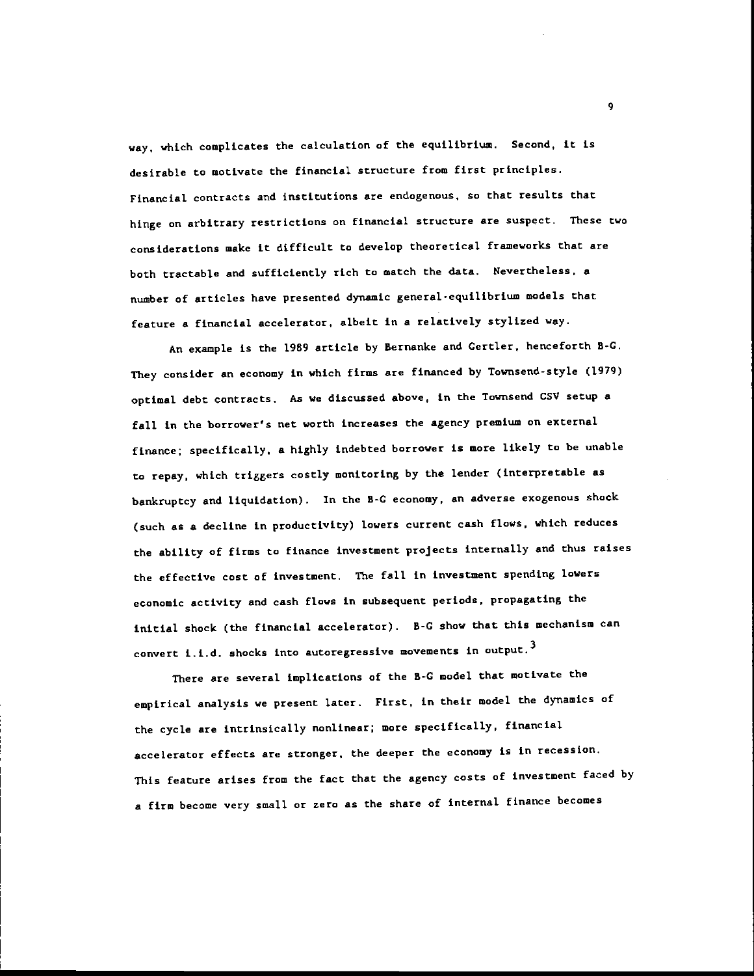way, which complicates the calculation of the equilibrium. Second, it is desirable to motivate the financial structure from first principles. Financial contracts and institutions are endogenous, so that results that hinge on arbitrary restrictions on financial structure are suspect. These two considerations make it difficult to develop theoretical frameworks that are both tractable and sufficiently rich to match the data. Nevertheless, a number of articles have presented dynamic general-equilibrium models that feature a financial accelerator, albeit in a relatively stylized way.

An example is the 1989 article by Bernanke and Gertler, henceforth B-C. They consider an economy in which firms are financed by Townsend-style (1979) optimal debt contracts. As we discussed above, in the Townsend CSV setup a fall in the borrower's net worth increases the agency premium on external finance; specifically, a highly indebted borrower is more likely to be unable to repay, which triggers costly monitoring by the lender (interpretable as bankruptcy and liquidation). In the B-C economy, an adverse exogenous shock (such as a decline in productivity) lowers current cash flows, which reduces the ability of firms to finance investment projects internally and thus raises the effective cost of investment. The fall in investment spending lowers economic activity and cash flows in subaequent periods, propagating the initial shock (the financial accelerator). B-C show that this mechanism can convert i.i.d. shocks into autoregressive movements in output.<sup>3</sup>

There are several implications of the B-C model that motivate the empirical analysis we present later. First, in their model the dynamics of the cycle are intrinsically nonlinear; more specifically, financial accelerator effects are stronger, the deeper the economy is in recession. This feature arises from the fact that the agency costs of investment faced by a firm become very small or zero as the share of internal finance becomes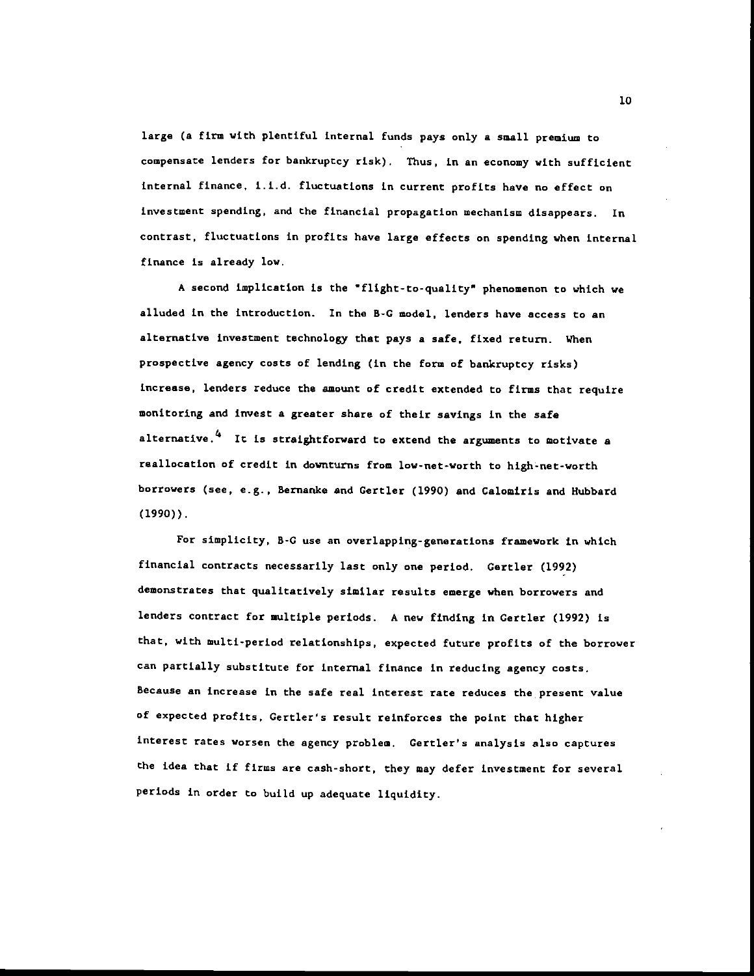large (a firm with plentiful internal funds pays only a small premium to compensate lenders for bankruptcy risk). Thus, in an economy with sufficient internal finance, i.i.d. fluctuations in current profits have no effect on investment spending, and the financial propagation wechanism disappears. In contrast, fluctuations in profits have large effects on spending when internal finance is already low.

A second implication is the "flight-to-quality" phenomenon to which we alluded in the introduction. In the B-C model, lenders have access to an alternative investment technology that pays a safe, fixed return. When prospective agency costs of lending (in the form of bankruptcy risks) increase, lenders reduce the amount of credit extended to firms that require monitoring and invest a greater share of their savings in the safe alternative. $4$  It is straightforward to extend the arguments to motivate a reallocation of credit in downturns from low-net-worth to high-net-worth borrowers (see, e.g., Bernanke and Gertler (1990) and Calomiris and Hubbard (1990)).

For simplicity, B-C use an overlapping-generations framework in which financial contracts necessarily last only one period. Gertler (1992) demonstrates that qualitatively similar results emerge when borrowers and lenders contract for multiple periods. A new finding in Certler (1992) is that, with multi-period relationships, expected future profits of the borrower can partially substitute for internal finance in reducing agency costs. Because an increase in the safe real interest rate reduces the present value of expected profits, Cercler's result reinforces the point that higher interest rates worsen the agency problem. Certler's analysis also captures the idea that if firms are cash-short, they may defer investment for several periods in order to build up adequate liquidity.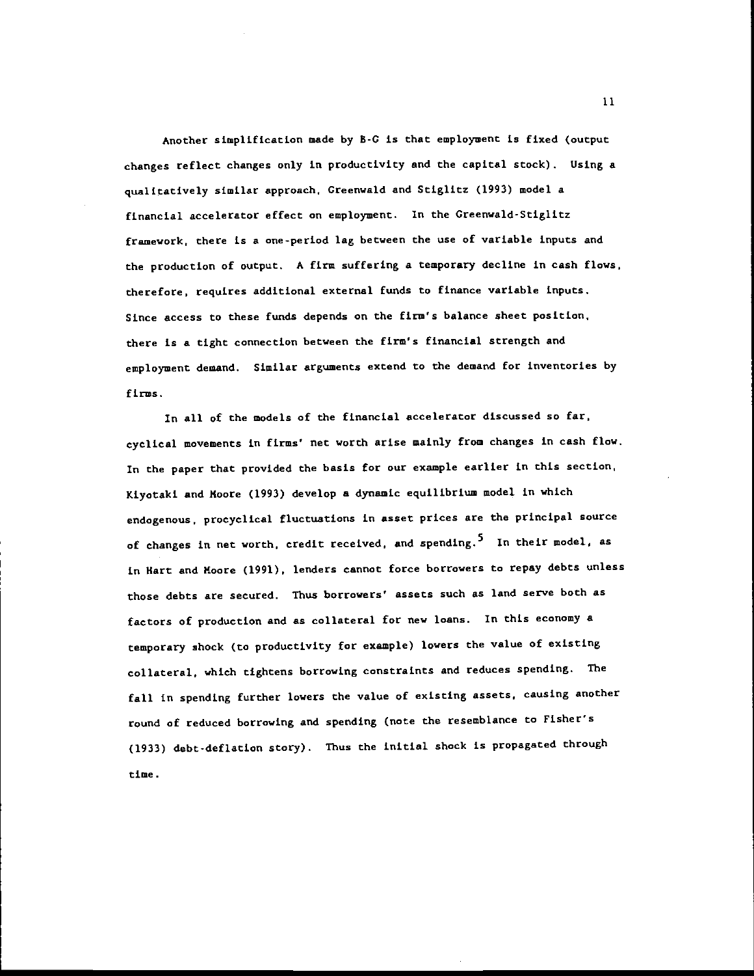Another simplification made by B-C is that employment is fixed (output changes reflect changes only in productivity and the capital stock). Using a qualitatively similar approach, Creenwald and Stiglitz (1993) model a financial accelerator effect on employment. In the Greenwald-Stiglitz framework, there is a one-period lag between the use of variable inputs and the production of output. A firm suffering a temporary decline in cash flows, therefore, requires additional external funds to finance variable inputs. Since access to these funds depends on the firm's balance sheet position, there is a tight connection between the firm's financial strength and employment demand. Similar arguments extend to the demand for inventories by firms.

In all of the models of the financial accelerator discussed so far, cyclical movements in firms' net worth arise mainly from changes in cash flow. In the paper that provided the basis for our example earlier in this section, Kiyotaki and Moore (1993) develop a dynamic equilibrium model in which endogenous, procyclical fluctuations in asset prices are the principal source of changes in net worth, credit received, and spending.<sup>5</sup> In their model, as in Hart and Moore (1991). lenders cannot force borrowers to repay debts unless those debts are secured. Thus borrowers' assets such as land serve both as factors of production and as collateral for new loans. In this economy a temporary shock (to productivity for example) lowers the value of existing collateral, which tightens borrowing constraints and reduces spending. The fall in spending further lowers the value of existing assets, causing another round of reduced borrowing and spending (note the resemblance to Fisher's (1933) debt-deflation story). Thus the initial shock is propagated through time.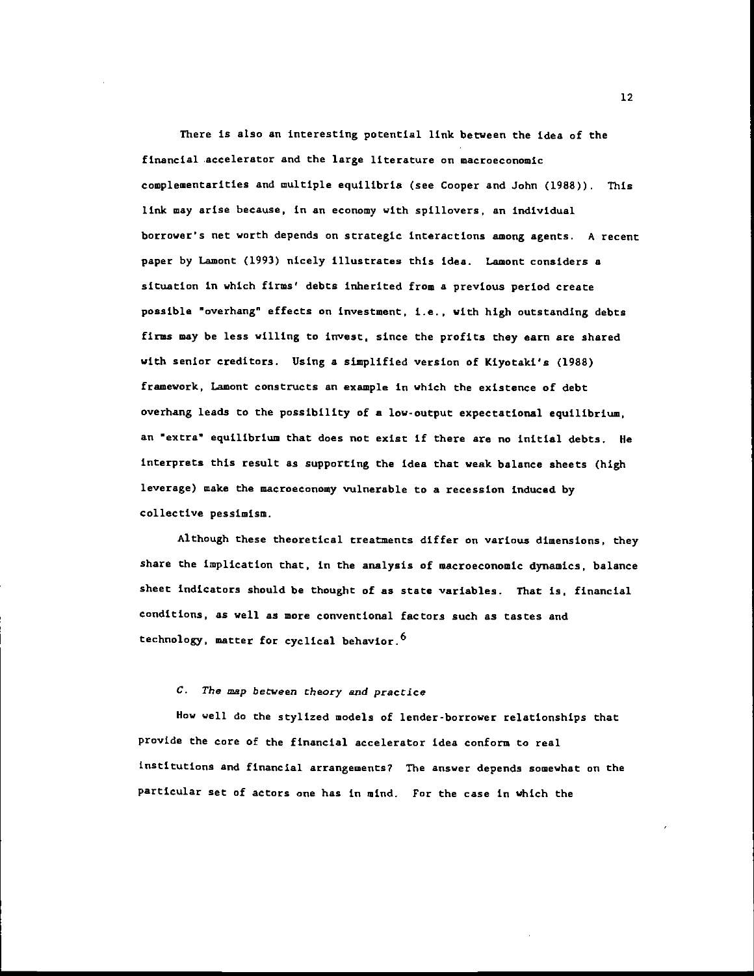There is also an interesting potential link between the idea of the financial accelerator and the large literature on macroeconomic complementarities and multiple equilibria (see Cooper and John (1988)). This link may arise because, in an economy with spillovers, an individual borrower's net worth depends on strategic interactions among agents. A recent paper by Lamont (1993) nicely illustrates this idea. Lamont considers a situation in which firms' debts inherited from a previous period create possible "overhang" effects on investment, i.e., with high outstanding debts firms may be less willing to invest, since the profits they earn are shared with senior creditors. Using a simplified version of Kiyotaki's (1988) framework, Lamont constructs an example in which the existence of debt overhang leads to the possibility of a low-output expectational equilibrium, an "extra" equilibrium that does not exist if there are no initial debts. He interprets this result as supporting the idea that weak balance sheets (high leverage) make the macroeconomy vulnerable to a recession induced by collective pessimism.

Although these theoretical treatments differ on various dimensions, they share the implication that, in the analysis of macroeconomic dynamics, balance sheet indicators should be thought of as state variables. That is, financial conditions, as well as more conventional factors such as tastes and technology, matter for cyclical behavior.6

## C. The map between theory and practice

How well do the stylized models of lender-borrower relationships that provide the core of the financial accelerator idea conform to real institutions and financial arrangements? The answer depends somewhat on the particular set of actors one has in mind. For the case in which the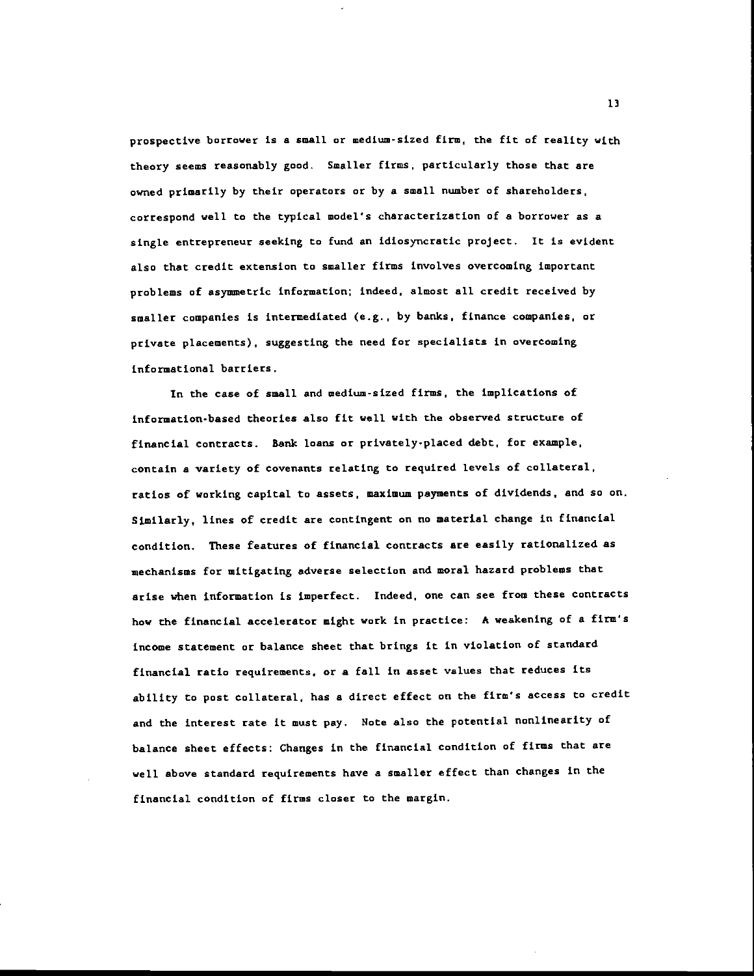prospective borrower is a small or medium-sized firm, the fit of reality with theory seems reasonably good. Smaller firms, particularly those that are owned primarily by their operators or by a small number of shareholders, correspond well to the typical model's characterization of a borrower as a single entrepreneur seeking to fund an idiosyncratic project. It is evident also that credit extension to smaller firms involves overcoming important problems of asymmetric information; indeed, almost all credit received by smaller companies is intermediated (e.g., by banks, finance companies, or private placements), suggesting the need for specialists in overcoming informational barriers.

In the case of small and medium-sized firms, the implications of information-based theories also fit well with the observed structure of financial contracts. Bank loans or privately-placed debt, for example, contain a variety of covenants relating to required levels of collateral, ratios of working capital to assets, maximum payments of dividends, and so on. Similarly, lines of credit are contingent on no material change in financial condition. These features of financial contracts are easily rationalized as mechanisms for mitigating adverse selection and moral hazard problems that arise when information is imperfect. Indeed, one can see from these contracts how the financial accelerator might work in practice: A weakening of a firm's income statement or balance sheet that brings it in violation of standard financial ratio requirements, or a fall in asset values that reduces its ability to post collateral, has a direct effect on the firm's access to credit and the interest rate it must pay. Note also the potential nonlinearity of balance sheet effects: Changes in the financial condition of firms that are well above standard requirements have a smaller effect than changes in the financial condition of firms closer to the margin.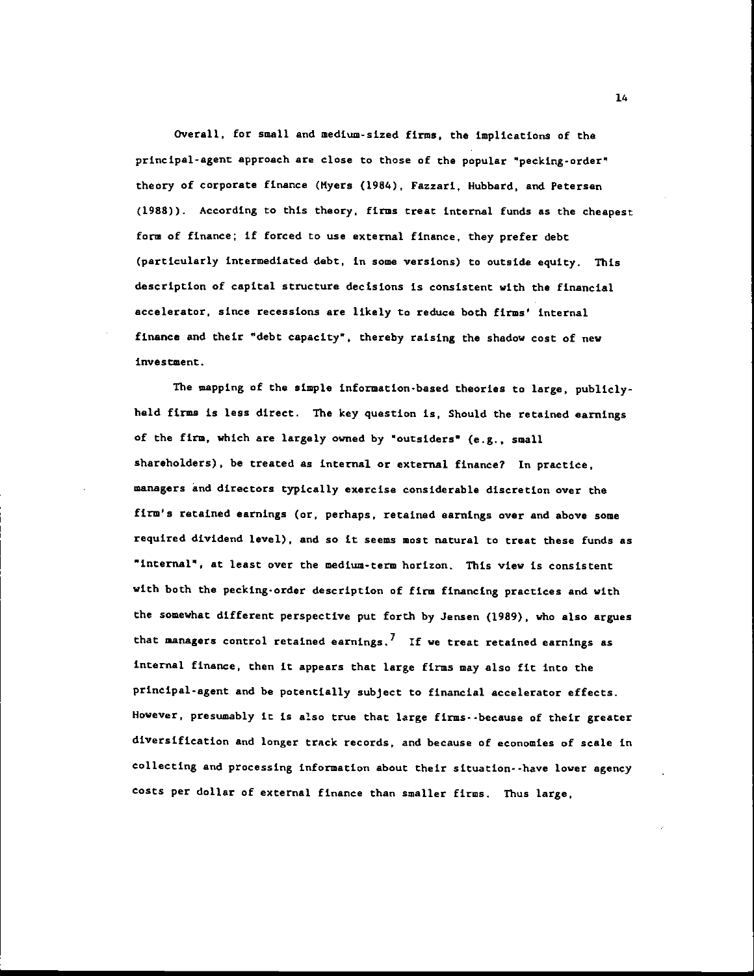Overall, for small and medium-sized firms, the implications of the principal-agent approach are close to chose of the popular "pecking-order" theory of corporate finance (Myers (1984), Fazzari, Hubbard, and Petersen (1988)). According to this theory, firms treat internal funds as the cheapest form of finance; if forced to use external finance, they prefer debt (particularly intermediated debt, in some versions) to outside equity. This description of capital structure decisions is consistent with the financial accelerator, since recessions are likely to reduce both firms' internal finance and their "debt capacity", thereby raising the shadow cost of new investment.

The mapping of the simple information-based theories to large, publiclyheld firma is less direct. The key question is, Should the retained earnings of the firm, which are largely owned by "outsiders" (e.g., small shareholders), be treated as internal or external finance? In practice, managers and directors typically exercise considerable discretion over the firm's retained earnings (or, perhaps, retained earnings over and above some required dividend level), and so it seems most natural to treat these funds as "internal", at least over the medium-term horizon. This view is consistent with both the pecking-order description of firm financing practices and with the somewhat different perspective put forth by Jensen (1989), who also argues that managers control retained earnings.<sup>7</sup> If we treat retained earnings as internal finance, then it appears chat large firms may also fit into the principal-agent and be potentially subject to financial accelerator effects. However, presumably it is also true that large firms--because of their greater diversification and longer track records, and because of economies of scale in collecting and processing information about their situation- -have lower agency costs per dollar of external finance than smaller firms. Thus large,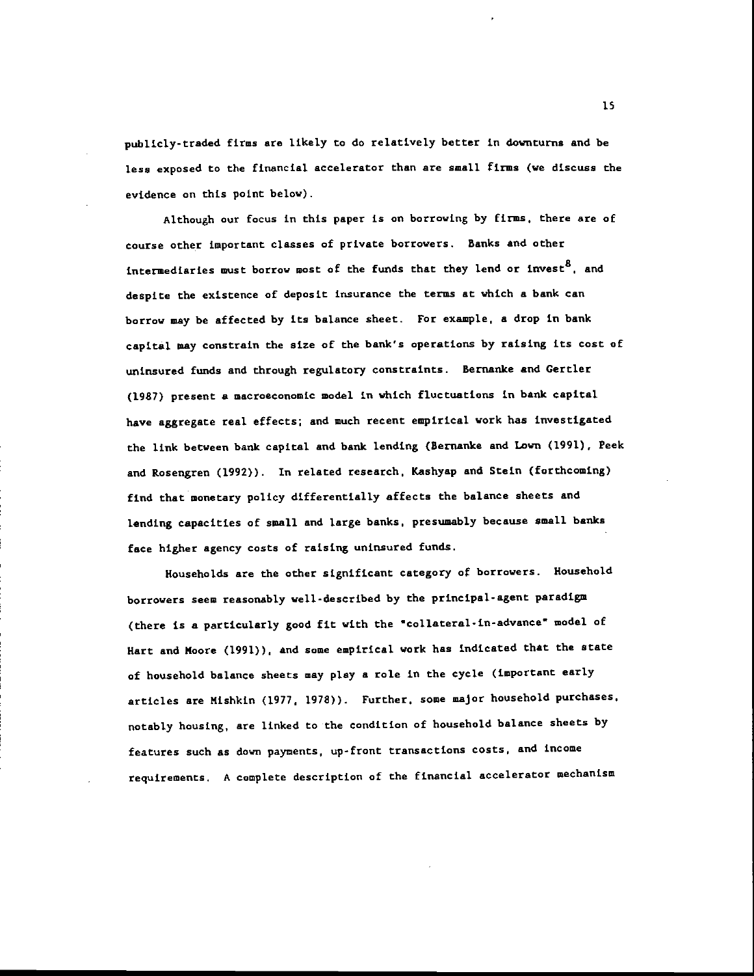publicly-traded firms are likely to do relatively better in downturns and be less exposed to the financial accelerator than are small firms (we discuss the evidence on this point below).

Although our focus in this paper is on borrowing by firms, there are of course other important classes of private borrowers. Banks and other intermediaries must borrow most of the funds that they lend or invest<sup>8</sup>, and despite the existence of deposit insurance the terms at which a bank can borrow may be affected by its balance sheet. For example, a drop in bank capital may constrain the size of the bank's operations by raising its cost of uninsured funds and through regulatory constraints. Bernanke and Gertler (1987) present a macroeconomic model in which fluctuations in bank capital have aggregate real effects; and much recent empirical work has investigated the link between bank capital and bank lending (Bernanke and Lawn (1991), Peek and Rosengren (1992)). In related research, Kashyap and Stein (forthcoming) find that monetary policy differentially affects the balance sheets and lending capacities of small and large banks, presumably because small banks face higher agency costs of raising uninsured funds.

Households are the other significant category of borrowers. Household borrowers seem reasonably well-described by the principal-agent paradigm (there is a particularly good fit with the "collateral-in-advance" model of Hart and Moore (1991)). and some empirical work has indicated that the state of household balance sheets may play a role in the cycle (important early articles are Mishkin (1977. 1978)). Further, some major household purchases. notably housing, are linked to the condition of household balance sheets by features such as down payments, up-front transactions costs, and income requirements. A complete description of the financial accelerator mechanism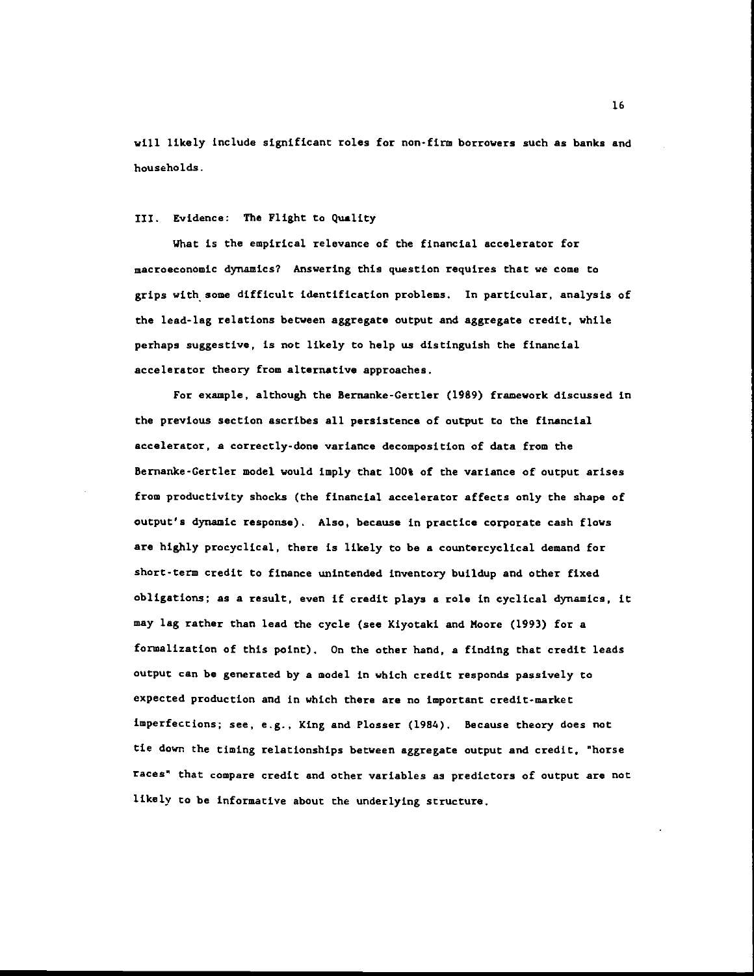will likely include significant roles for non-firm borrowers such as banks and households.

#### 111. Evidence: The Flight to Quality

What is the empirical relevance of the financial accelerator for macroeconomic dynamics? Answering this question requires that we come to grips with some difficult identification problems. In particular, analysis of the lead-lag relations between aggregate output and aggregate credit, while perhaps suggestive, is not likely to help us distinguish the financial accelerator theory from alternative approaches.

For example, although the Bernanke-Certler (1989) framework discussed in the previous section ascribes all, persistence of output to the financial accelerator, a correctly-done variance decomposition of data from the Bernanke-Gertler model would imply that 100% of the variance of output arises from productivity shocks (the financial accelerator affects only the shape of output's dynamic response). Also, because in practice corporate cash flows are highly procyclical, there is likely to be a countercyclical demand for short-term credit to finance unintended inventory buildup and other fixed obligations; as a result, even if credit plays a role in cyclical dynamics, it may lag rather than lead the cycle (see Kiyotaki and Moore (1993) for a formalization of this point). On the other hand, a finding that credit leads output can be generated by a model in which credit responds passively to expected production and in which there are no important credit-market imperfections; see, e.g., King and Plosser (1984). Because theory does not tie down the timing relationships between aggregate output and credit, "horse races' that compare credit and other variables as predictors of output are not likely to be informative about the underlying structure.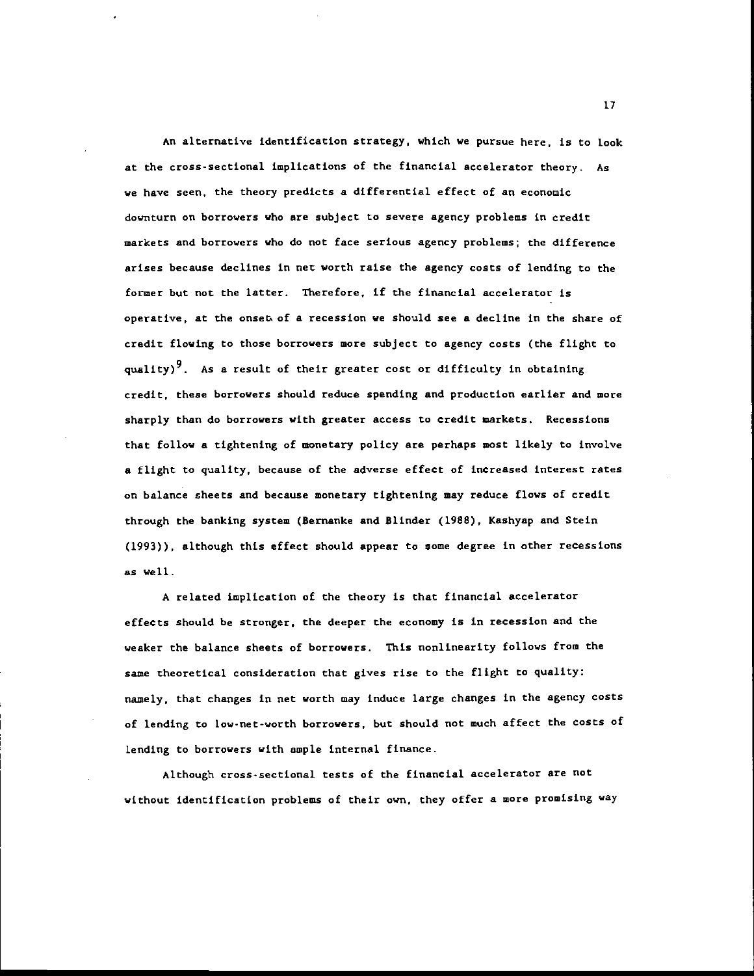An alternative identification strategy, which we pursue here, is to look at the cross-sectional implications of the financial accelerator theory. As we have seen, the theory predicts a differential effect of an economic downturn on borrowers who are subject to severe agency problems in credit markets and borrowers who do not face serious agency problems; the difference arises because declines in net worth raise the agency costs of lending to the former but not the latter. Therefore, if the financial accelerator is operative, at the onset of a recession we should see a decline in the share of credit flowing to those borrowers more subject to agency costs (the flight to quality)<sup>9</sup>. As a result of their greater cost or difficulty in obtaining credit, these borrowers should reduce spending and production earlier and more sharply than do borrowers with greater access to credit markets. Recessions that follow a tightening of monetary policy are perhaps most likely to involve a flight to quality, because of the adverse effect of increased interest rates on balance sheets and because monetary tightening may reduce flows of credit through the banking system (Bernanke and Blinder (1988), Kashyap and Stein (1993)), although this effect should appear to some degree in other recessions as well.

A related implication of the theory is that financial accelerator effects should be stronger, the deeper the economy is in recession and the weaker the balance sheets of borrowers. This nonlinearity follows from the same theoretical consideration that gives rise to the flight to quality: namely, that changes in net worth may induce large changes in the agency costs of lending to low-net-worth borrowers, but should not much affect the costs of Lending to borrowers with ample internal finance.

Although cross-sectional tests of the financial accelerator are not without identification problems of their own, they offer a more promising way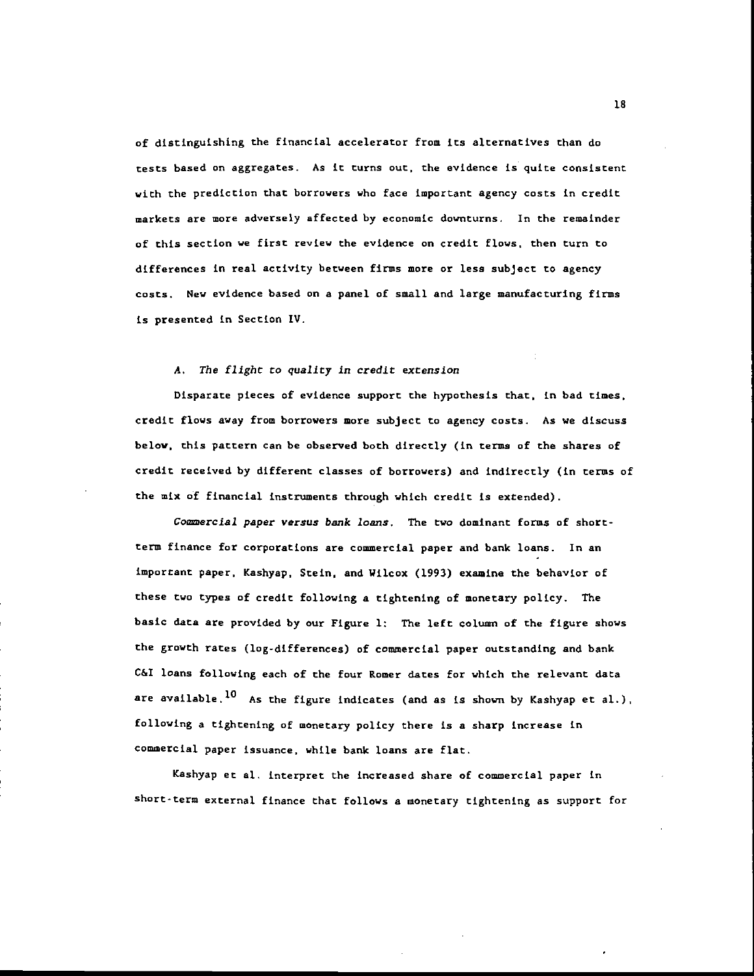of distinguishing the financial accelerator from its alternatives than do tests based On aggregates. As it turns out, the evidence is quite consistent with the prediction that borrowers who face important agency costs in credit markets are more adversely affected by economic downturns. In the remainder of this section we first review the evidence on credit flows, then turn to differences in real activity between firms more or less subject to agency costs. New evidence based on a panel of small and large manufacturing firms is presented in Section IV.

#### A. The flight to quality in credit extension

Disparate pieces of evidence support the hypothesis that, in bad times, credit flows away from borrowers more subject to agency costs. As we discuss below, this pattern can be observed both directly (in terms of the shares of credit received by different classes of borrowers) and indirectly (in terms of the mix of financial instruments through which credit is extended).

Commercial paper versus bank loans. The two dominant forms of shortterm finance for corporations are commercial paper and bank loans. In an important paper, Kashyap. Stein, and Wilcox (1993) examine the behavior of these two types of credit following a tightening of monetary policy. The basic data are provided by our Figure 1: The left column of the figure shows the growth rates (log-differences) of commercial paper outstanding and bank C&I loans following each of the four Romer dates for which the relevant data are available.<sup>10</sup> As the figure indicates (and as is shown by Kashyap et al.), following a tightening of monetary policy there is a sharp increase in commercial paper issuance, while bank loans are flat.

Kashyap et al, interpret the increased share of commercial paper in short-term external finance that follows a monetary tightening as support for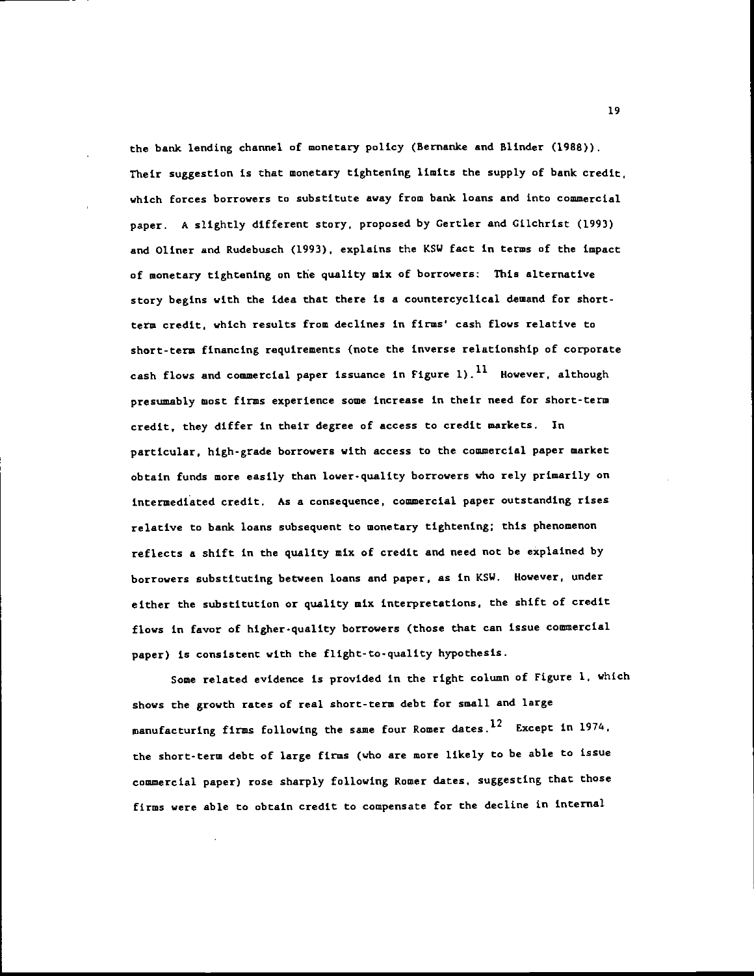the bank lending channel of monetary policy (Bernanke and Blinder (1988)). Their suggestion is that monetary tightening limits the supply of bank credit, which forces borrowers to substitute away from bank loans and into commercial paper. A slightly different story, proposed by Certler and Cilchrist (1993) and Oliner and Rudebusch (1993), explains the KSW fact in terms of the impact of monetary tightening on the quality mix of borrowers: This alternative story begins with the idea that there is a countercyclical demand for shortterm credit, which results from declines in fins' cash flows relative to short-term financing requirements (note the inverse relationship of corporate cash flows and commercial paper issuance in Figure 1).<sup>11</sup> However, although presumably most firms experience some increase in their need for short-term credit, they differ in their degree of access to credit markets. In particular, high-grade borrowers with access to the commercial paper market obtain funds more easily than lower-quality borrowers who rely primarily on intermediated credit. As a consequence, commercial paper outstanding rises relative to bank loans subsequent to monetary tightening; this phenomenon reflects a shift in the quality mix of credit and need not be explained by borrowers substituting between loans and paper, as in KSW. However, under either the substitution or quality mix interpretations, the shift of credit flows in favor of higher-quality borrowers (those that can issue commercial paper) is consistent with the flight-to-quality hypothesis.

Some related evidence is provided in the right column of Figure 1. which shows the growth rates of real short-term debt for small and large manufacturing firms following the same four Romer dates.<sup>12</sup> Except in 1974, the short-term debt of large firms (who are more likely to be able to issue commercial paper) rose sharply following Romer dates, suggesting that those firms were able to obtain credit to compensate for the decline in internal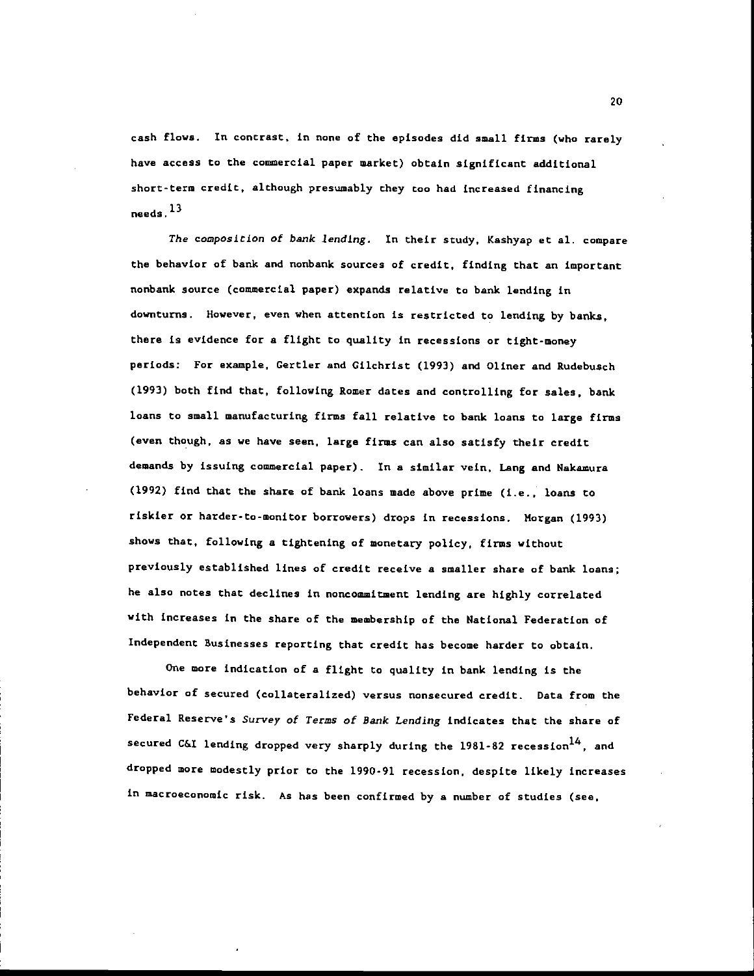cash flows. In contrast, in none of the episodes did small firms (who rarely have access to the commercial paper market) obtain significant additional short-term credit, although presumably they too had increased financing needs  $^{13}$ 

The composition of bank lending. In their study, Kashyap et al. compare the behavior of bank and nonbank sources of credit, finding that an important nonbank source (commercial paper) expands relative to bank lending in downturns. However, even when attention is restricted to lending by banks, there is evidence for a flight to quality in recessions or tight-money periods: For example. Gertler and Gilchrist (1993) and Oliner and Rudebusch (1993) both find that, following Romer dates and controlling for sales, bank loans to small manufacturing firms fall relative to bank loans to large firms (even though, as we have seen, large firms can also satisfy their credit demands by issuing commercial paper). In a similar vein, Lang and Nakamura (1992) find that the share of bank loans made above prime (i.e., loans to riskier or harder-to-monitor borrowers) drops in recessions. Morgan (1993) shows that, following a tightening of monetary policy, firms without previously established lines of credit receive a smaller share of bank loans; he also notes that declines in noncommitment lending are highly correlated with increases in the share of the membership of the National Federation of Independent Businesses reporting that credit has become harder to obtain.

One more indication of a flight to quality in bank lending is the behavior of secured (collateralized) versus nonsecured credit. Data from the Federal Reserve's Survey of Terms of Bank Lending indicates that the share of secured C&I lending dropped very sharply during the  $1981-82$  recession<sup>14</sup>, and dropped more modestly prior to the 1990-91 recession, despite likely increases in macroeconomic risk. As has been confirmed by a number of studies (see,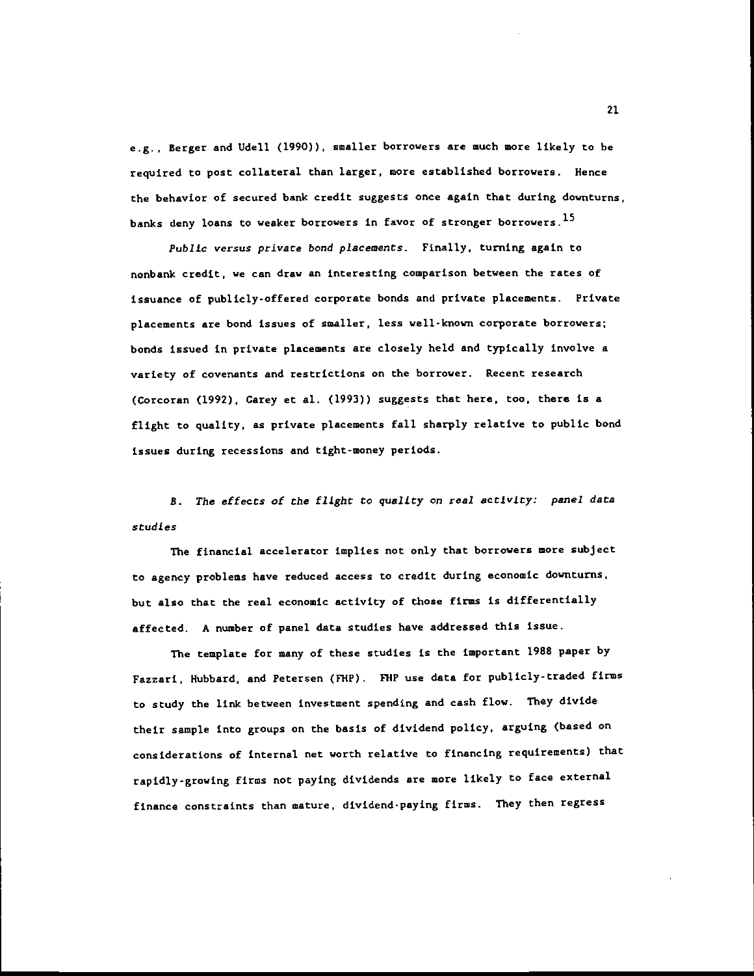e.g.. Berger and UdeIl (1990)), smaller borrowers are much more likely to be required to post collateral than larger, more established borrowers, Hence the behavior of secured bank credit suggests once again that during downturns, banks deny loans to weaker borrowers in favor of stronger borrowers.<sup>15</sup>

Public versus private bond placements. Finally, turning again to nonbank credit, we can draw an interesting comparison between the rates of issuance of publicly-offered corporate bonds and private placements. Private placements are bond issues of smaller, less well-known corporate borrowers; bonds issued in private placements are closely held and typically involve a variety of covenants and restrictions on the borrower. Recent research (Corcoran (1992). Carey et al. (1993)) suggests that here, too, there is a flight to quality, as private placements fall sharply relative to public bond issues during recessions and tight-money periods.

B. The effects of the flight to quality on real activity: panel data studies

The financial accelerator implies not only that borrowers more subject to agency problems have reduced access to credit during economic downturns, but also that the real economic activity of those firms is differentially affected. A number of panel data studies have addressed this issue.

The template for many of these studies is the important 1988 paper by Fazzari, Hubbard, and Petersen (FHP). FHP use data for publicly-traded firms to study the link between investment spending and cash flow. They divide their sample into groups on the basis of dividend policy, arguing (based on considerations of internal net worth relative to financing requirements) that rapidly-growing firms not paying dividends are more likely to face external finance constraints than mature, dividend-paying firms. They then regress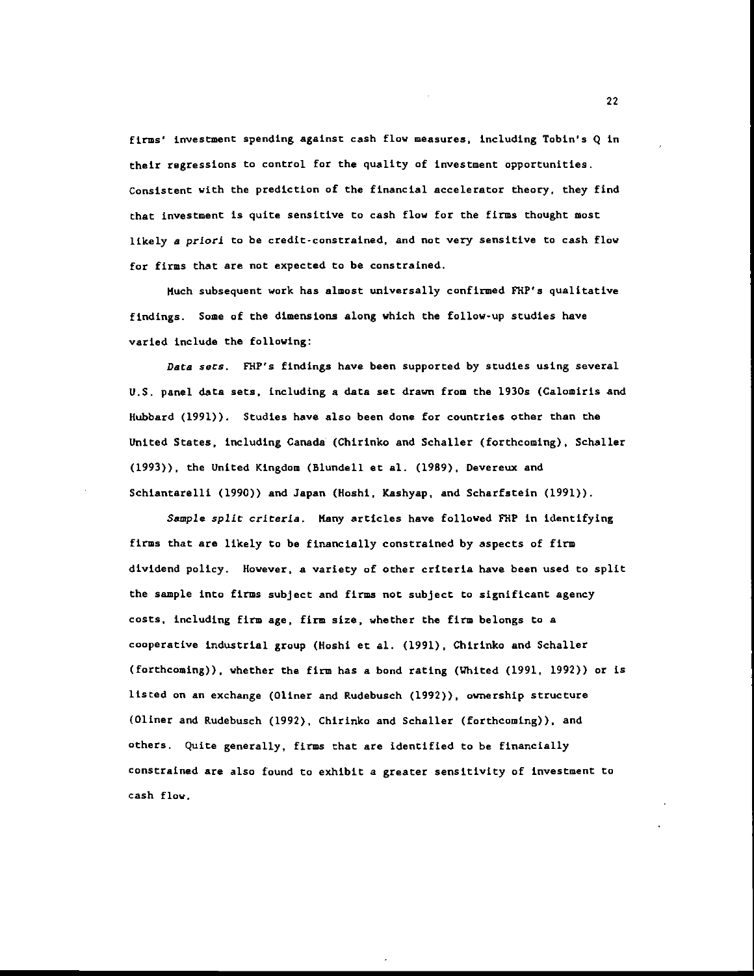firms' investment spending against cash flow measures, including Tobin's Q in their regressions to control for the quality of investment opportunities. Consistent with the prediction of the financial accelerator theory, they find that investment is quite sensitive to cash flow for the firms thought most likely a priori to be credit-constrained, and not very sensitive to cash flow for firms that are not expected to be constrained.

Much subsequent work has almost universally confirmed FHP's qualitative findings. Some of the dimensions along which the follow-up studies have varied include the following:

Data sets. FHP's findings have been supported by studies using several U.S. panel data sets, including a data set drawn from the 1930s (Calomiris and Hubbard (1991)). Studies have also been done for countries other than the United States, including Canada (Chirinko and Schaller (forthcoming), Schaller (1993)), the United Kingdom (Blundell et al. (1989), Devereux and Schiantarelli (1990)) and Japan (Hoshi, Kashyap, and Scharfstein (1991)).

Sample split criteria. Many articles have followed FHP in identifying firms that are likely to be financially constrained by aspects of firm dividend policy. However, a variety of other criteria have been used to split the sample into firms subject and firms not subject to significant agency costs, including firm age, firm size, whether the firm belongs to a cooperative industrial group (Hoshi et al. (1991), Chirinko and Schaller (forthcoming)), whether the firm has a bond rating (Whited (1991, 1992)) or is listed on an exchange (Oliner and Rudebusch (1992)), ownership structure (Oliner and Rudebusch (1992), Chirinko and Schaller (forthcoming)), and others. Quite generally, firms that are identified to be financially constrained are also found to exhibit a greater sensitivity of investment to cash flow.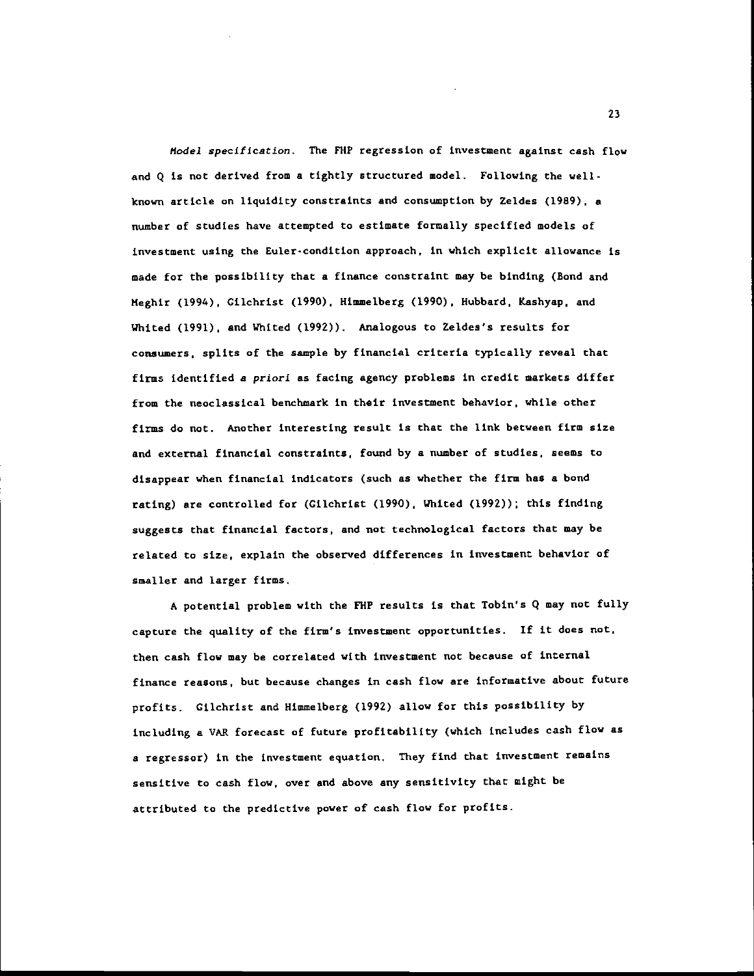Model specification. The FlIP regression of investment against cash flow and Q is not derived from a tightly structured model. Following the wellknown article on liquidity constraints and consumption by Zeldes (1989). a number of studies have attempted to estimate formally specified models of investment using the Euler-condition approach, in which explicit allowance is made for the possibility that a finance constraint may be binding (Bond and Meghir (1994), Cilchrist (1990), Himmelberg (1990), Hubbard, Kashyap, and Whited (1991), and Whited (1992)). Analogous to Zeldes's results for consumers, splits of the sample by financial criteria typically reveal that firms identified a priori as facing agency problems in credit markets differ from the neoclassical benchmark in their investment behavior, while other firms do not. Another interesting result is that the link between firm size and external financial constraints, found by a number of studies, seems to disappear when financial indicators (such as whether the firm has a bond rating) are controlled for (Gilchrist (1990), Whited (1992)); this finding suggests that financial factors, and not technolegical factors that may be related to size, explain the observed differences in investment behavior of smaller and larger firms.

A potential problem with the FlIP results is that Tobin's Q may not fully capture the quality of the firm's investment opportunities. If it does not, then cash flow may be correlated with investment not because of internal finance reasons, but because changes in cash flow are informative about future profits. Cilchrist and Himmelberg (1992) allow for this possibility by including a VAR forecast of future profitability (which includes cash flow as a regressor) in the investment equation. They find that investment remains sensitive to cash flow, over and above any sensitivity that might be attributed to the predictive power of cash flow for profits.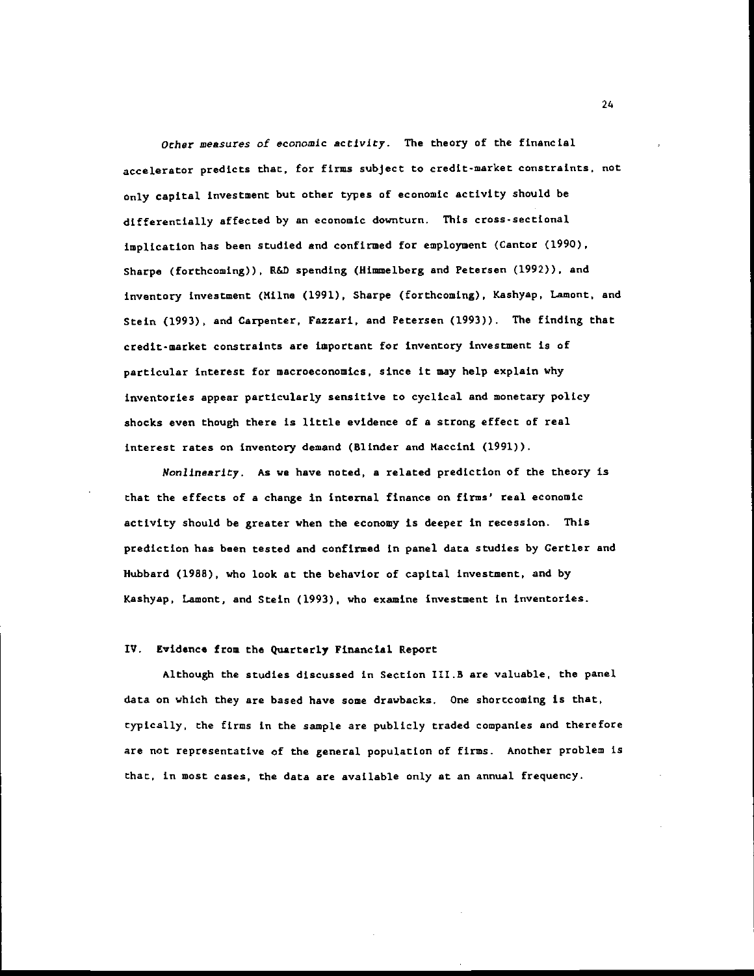Other measures of economic activity. The theory of the financial accelerator predicts that, for firms subject to credit-market constraints, not only capital investment but other types of economic activity should be differentially affected by an economic downturn. This cross-sectional implication has been studied and confined for employment (Cantor (1990), Sharpe (forthcoming)), R&D spending (Himmelberg and Petersen (1992)). and inventory investment (Milne (1991), Sharpe (forthcoming), Kashyap. Lamont, and Stein (1993). and Carpenter, Fazzari, and Petersen (1993)). The finding that credit-market constraints are important for inventory investment is of particular interest for macroeconomics, since it may help explain why inventories appear particularly sensitive to cyclical and monetary policy shocks even though there is little evidence of a strong effect of real interest rates on inventory demand (Blinder and Maccini (1991)).

Nonlinearity. As we have noted, a related prediction of the theory is that the effects of a change in internal finance on firms' real economic activity should be greater when the economy is deeper in recession. This prediction has been tested and confirmed in panel data studies by Certler and Hubbard (1988), who look at the behavior of capital investment, and by Kashyap, Lamont, and Stein (1993), who examine investment in inventories.

#### IV. Evidence from the Quarterly Financial Report

Although the studies discussed in Section 1II.B are valuable, the panel data on which they are based have some drawbacks. One shorccoming is that, typically, the firms in the sample are publicly traded companies and therefore are not representative of the general population of firms. Another problem is that, in most cases, the data are available only at an annual frequency.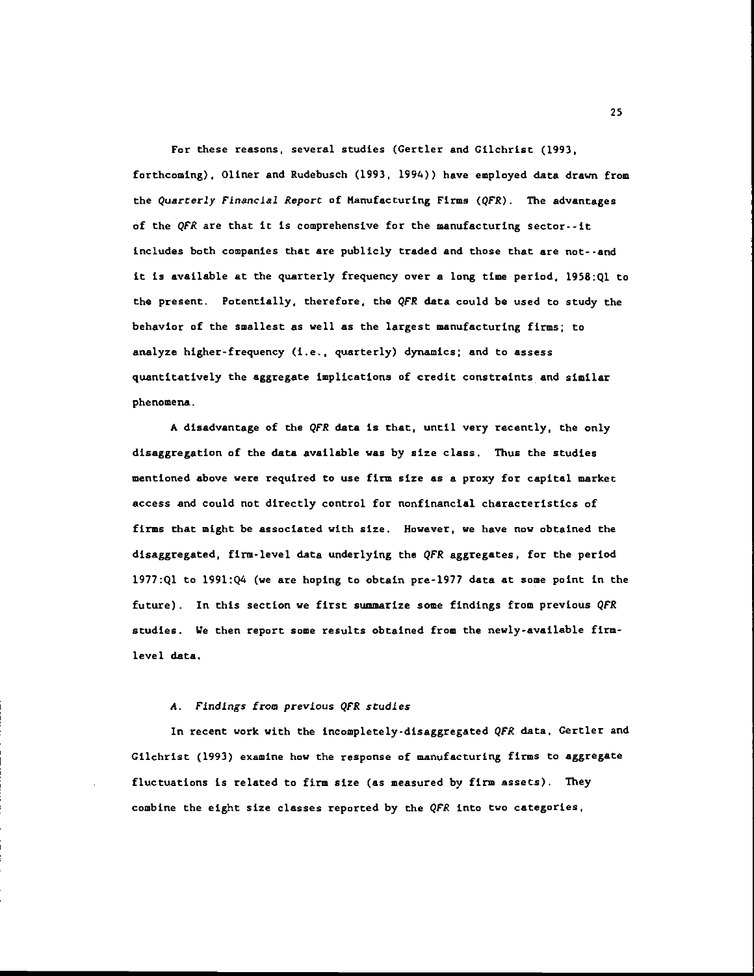For these reasons, several studies (Certler and Cilchrist (1993, forthcoming), Oliner and Rudebusch (1993, 1994)) have employed data drawn from the Quarterly Financial Report of Manufacturing Firms (QFR). The advantages of the QFR are that it is comprehensive for the manufacturing sector--it includes both companies that are publicly traded and those that are not--and it is available at the quarterly frequency over a long time period, 1958:Ql to the present. Potentially, therefore, the QFR data could be used to study the behavior of the smallest as well as the largest manufacturing firms; to analyze higher-frequency (i.e., quarterly) dynamics; and to assess quantitatively the aggregate implications of credit constraints and similar phenomena.

A disadvantage of the QFR data is that, until very recently, the only disaggregation of the data available was by size class. Thus the studies mentioned above were required to use firm size as a proxy for capital market access and could not directly control for nonfinancial characteristics of firms that might be associated with size. However, we have now obtained the disaggregated, firm-level data underlying the QFR aggregates, for the period l977:Ql to 199l:Q4 (we are hoping to obtain pre-1917 data at some point in the future). In this section we first summarize some findings from previous QFR studies. We then report some results obtained from the newly-available firmlevel data.

#### A. Findings from previous QFR studies

In recent work with the incompletely-disaggregated QFR data, Gertler and Gilchrist (1993) examine how the response of manufacturing firms to aggregate fluctuations is related to firm size (as measured by firm assets). They combine the eight size classes reported by the QFR into two categories,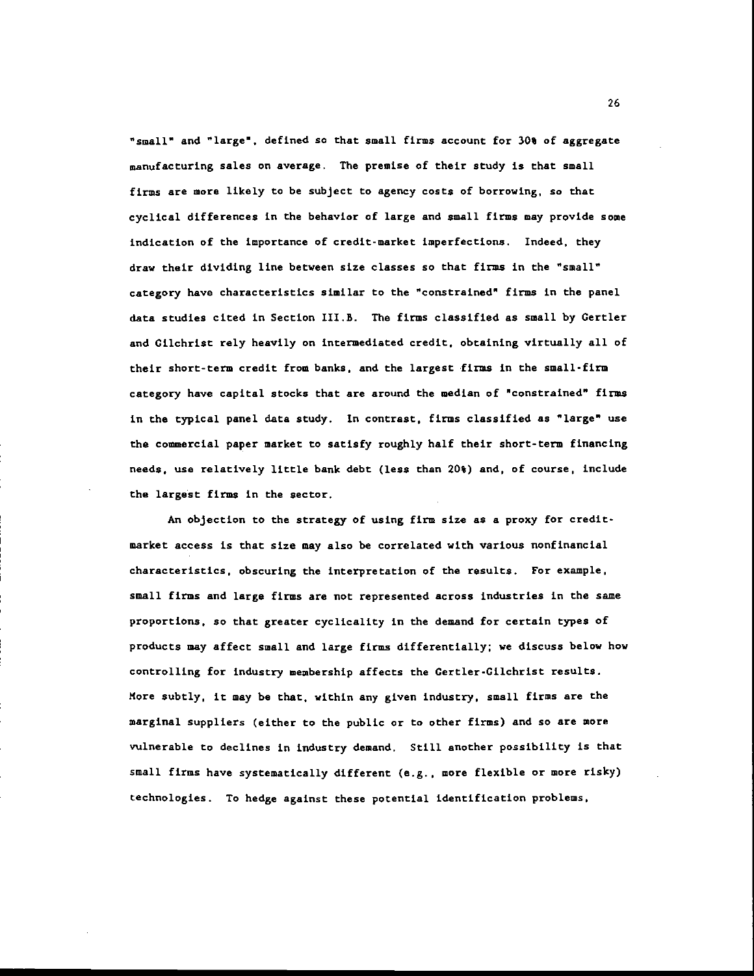"small" and "large", defined so that small firms account for 30% of aggregate manufacturing sales on average. The premise of their study is that small firms are more likely to be subject to agency costs of borrowing, so that cyclical differences in the behavior of large and small firms may provide some indication of the importance of credit-market imperfections. Indeed, they draw their dividing line between size classes so that firms in the "small" category have characteristics similar to the "constrained" firms in the panel data studies cited in Section III.B. The firms classified as small by Gertler and Gilchrist rely heavily on intermediated credit, obtaining virtually all of their short-term credit from banks, and the largest firms in the small-firm category have capital stocks that are around the median of "constrained" firms in the typical panel data study. In contrast, firms classified as "large" use the commercial paper market to satisfy roughly half their short-term financing needs, use relatively little bank debt (less than 20%) and, of course, include the largest firms in the sector.

An objection to the strategy of using firm size as a proxy for creditmarket access is that size may also be correlated with various nonfinancial characteristics, obscuring the interpretation of the results. For example. small firms and large firms are not represented across industries in the same proportions, so that greater cyclicality in the demand for certain types of products may affect small and large firms differentially; we discuss below how controlling for industry membership affects the Certler-Cilchrist results. More subtly, it may be that, within any given industry, small firms are the marginal suppliers (either to the public or to other firms) and so are more vulnerable to declines in industry demand. Still another possibility is that small firms have systematically different (e.g., more flexible or more risky) technologies. To hedge against these potential identification problems,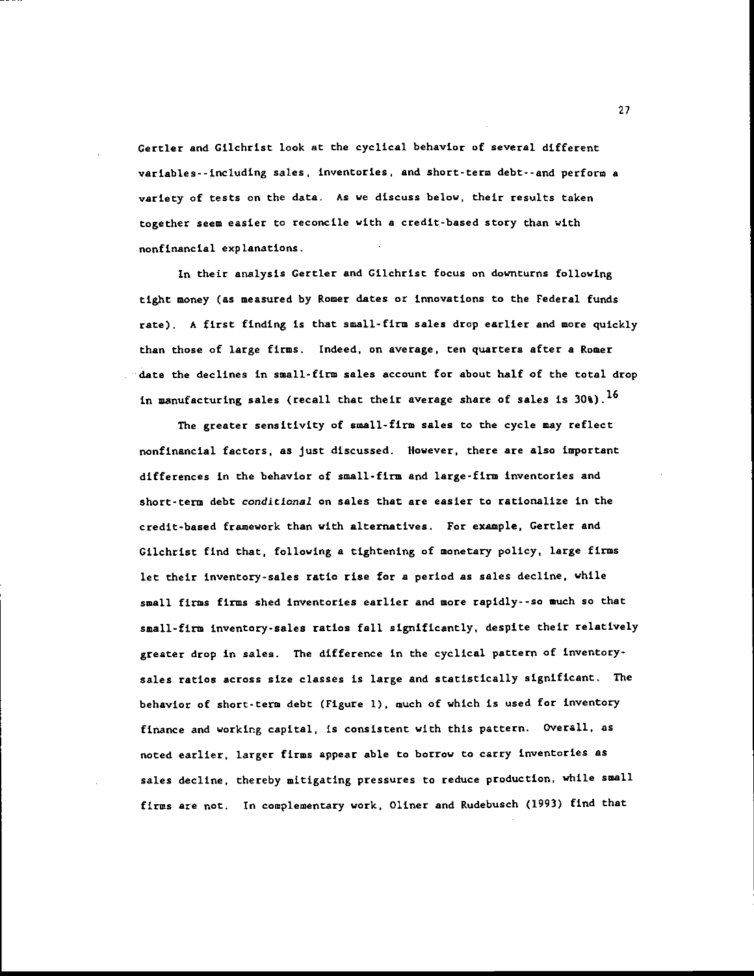Certler and Cilchrist Look at the cyclical behavior of several different variables--including sales, inventories, and short-term debt--and perform a variety of tests on the data. As we discuss below, their results taken together seem easier to reconcile with a credit-based story than with nonfinancial explanations.

In their analysis Gertler and Gilchrist focus on downturns following tight money (as measured by Romer dates or innovations to the Federal funds rate). A first finding is that small-firm sales drop earlier and more quickly than those of large firms. Indeed, on average, ten quarters after a Romer date the declines in small-firm sales account for about half of the total drop in manufacturing sales (recall that their average share of sales is  $30$ %).<sup>16</sup>

The greater sensitivity of small-firm sales to the cycle may reflect nonfinancial factors, as just discussed. However, there are also important differences in the behavior of small-firm and large-firm inventories and short-tern debt conditional on sales that are easier to rationalize in the credit-based framework than with alternatives. For example, Gertler and Gilchrist find that, following a tightening of monetary policy, large firms let their inventory-sales ratio rise for a period as sales decline, while small firms firms shed inventories earlier and more rapidly--so much so that small-firm inventory-sales ratios fall significantly, despite their relatively greater drop in sales. The difference in the cyclical pattern of inventorysales ratios across size classes is large and statistically significant. The behavior of short-term debt (Figure 1), much of which is used for inventory finance and working capital, is consistent with this pattern. Overall, as noted earlier, larger firms appear able to borrow to carry inventories as sales decline, thereby mitigating pressures to reduce production, while small firms are not. In complementary work, Oliner and Rudebusch (1993) find that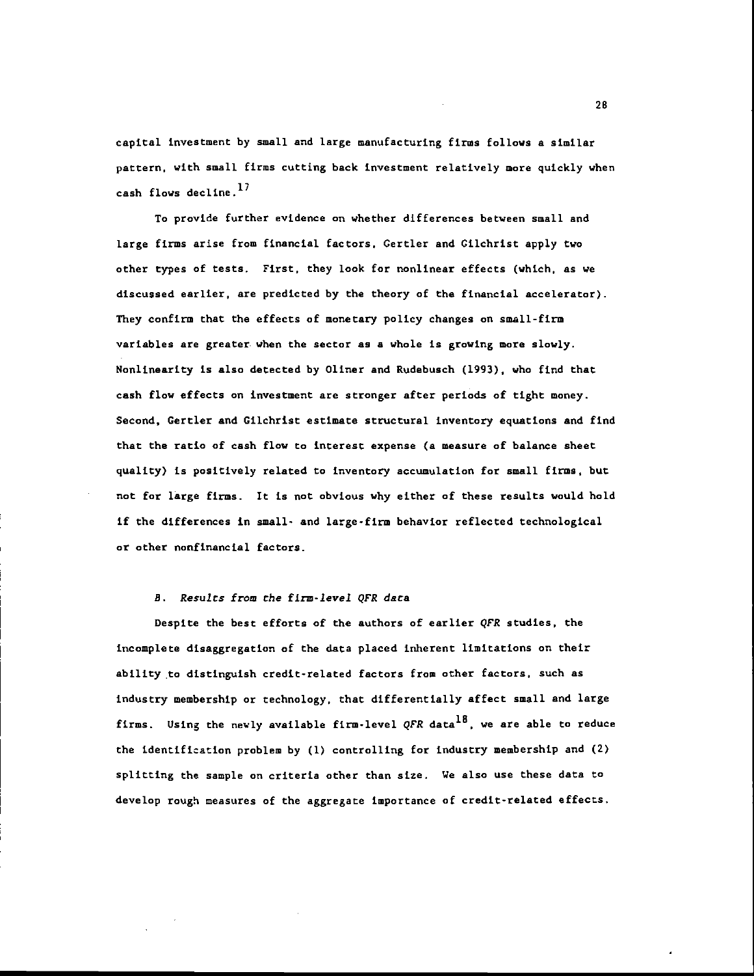capital investment by small and large manufacturing firms follows a similar pattern, with small firms cutting back investment relatively more quickly when cash flows decline. $^{17}$ 

To provide further evidence on whether differences between small and large firms arise from financial factors, Certler and Cilchrist apply two other types of tests. First, they look for nonlinear effects (which, as we discussed earlier, are predicted by the theory of the financial accelerator). They confirm that the effects of monetary policy changes on small-firm variables are greater when the sector as a whole is growing more slowly. Nonlinearity is also detected by Oliner and Rudebuach (1993), who find that cash flow effects on investment are stronger after periods of tight money. Second, Certler and Gilchrist estimate structural inventory equations and find that the ratio of cash flow to interest expense (a measure of balance sheet quality) is positively related to inventory accumulation for small firms, but not for large firms. It is not obvious why either of these results would hold if the differences in small- and large-fin behavior reflected technological or other nonfinancial factors.

## B. Results from the firm-level QFR data

Despite the best efforts of the authors of earlier QPR studies, the incomplete disaggregation of the data placed inherent limitations on their ability to distinguish credit-related factors from other factors, such as industry membership or technology, that differentially affect small and large firms. Using the newly available firm-level QFR data<sup>18</sup>, we are able to reduce the identification problem by (I) controlling for industry membership and (2) splitting the sample on criteria other than size. We also use these data to develop rough measures of the aggregate importance of credit-related effects.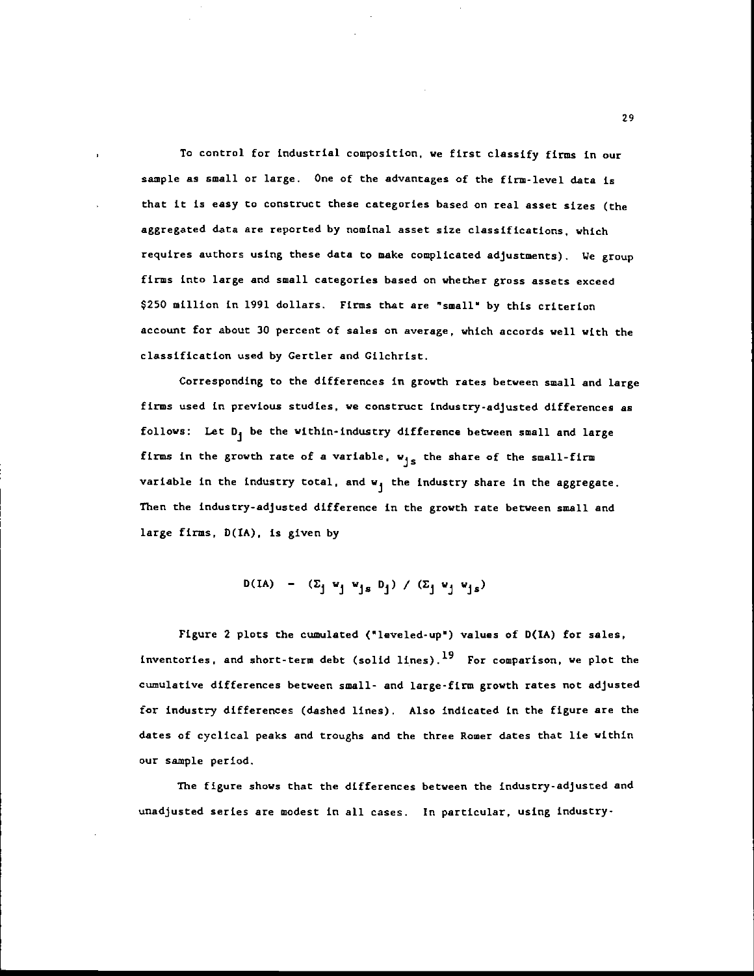To control for industrial composition, we first classify firms in our sample as small or large. One of the advantages of the firm-level data is that it is easy to construct these categories based on real asset sizes (the aggregated data are reported by nominal asset size classifications, which requires authors using these data to make complicated adjustments), We group firms into large and small categories based on whether gross assets exceed \$250 million in 1991 dollars. Firms that are "small" by this criterion account for about 30 percent of sales on average, which accords well with the classification used by Certler and Cilchrist.

Corresponding to the differences in growth rates between small and large firms used in previous studies, we construct industry-adjusted differences as follows: Let  $D_j$  be the within-industry difference between small and large firms in the growth rate of a variable,  $w_{js}$  the share of the small-firm variable in the industry total, and  $w_i$  the industry share in the aggregate. Then the industry-adjusted difference in the growth rate between small and large firms, D(IA), is given by

$$
D(IA) - (\Sigma_j \vee_j \vee_{js} D_j) / (\Sigma_j \vee_j \vee_{js})
$$

Figure 2 plots the cumulated ("leveled-up") values of  $D(IA)$  for sales, inventories, and short-term debt (solid lines).19 For comparison, we plot the cumulative differences between small- and large-firm growth rates not adjusted for industry differences (dashed lines). Also indicated in the figure are the dates of cyclical peaks and troughs and the three Romer dates that lie within our sample period.

The figure shows that the differences between the industry-adjusted and unadjusted series are modest in all cases. In particular, using industry'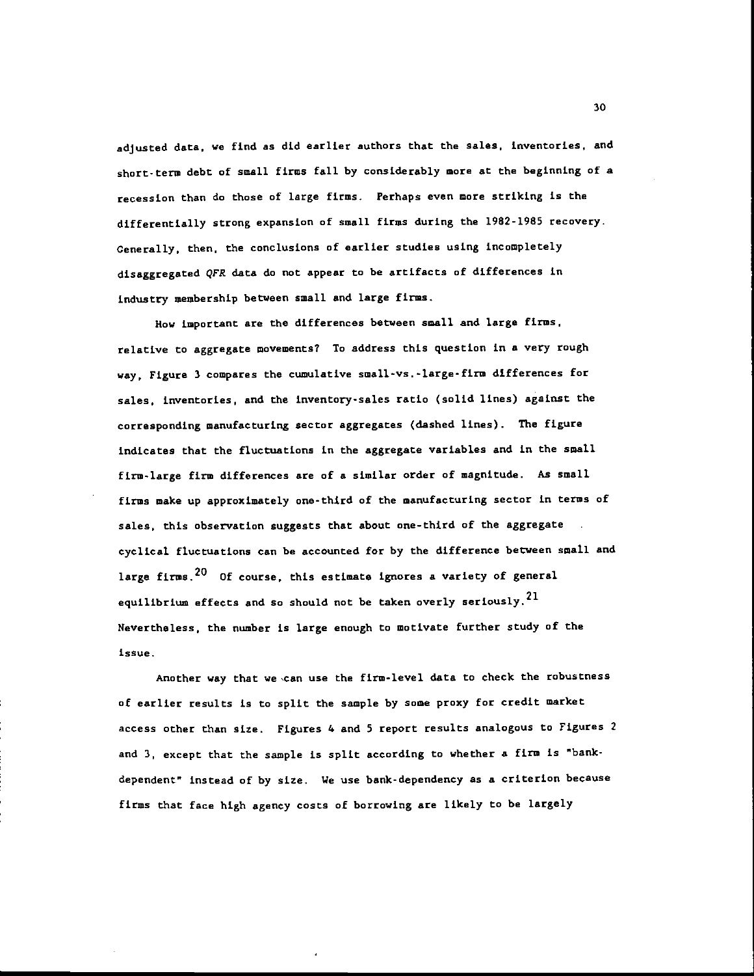adjusted data, we find as did earlier authors that the sales, inventories, and short-term debt of small firms fall by considerably more at the beginning of a recession than do those of large firms. Perhaps even more striking is the differentially strong expansion of small firms during the 1982-1985 recovery. Cenerally. then, the conclusions of earlier studies using incompletely disaggregated QFR data do not appear to be artifacts of differences in industry membership between small and large firms.

How important are the differences between small and large firms, relative to aggregate movements? To address this question in a very rough way, Figure 3 compares the cumulative small-vs. -large-fin differences for sales, inventories, and the inventory-sales ratio (solid lines) against the corresponding manufacturing sector aggregates (dashed lines). The figure indicates that the fluctuations in the aggregate variables and in the small firm-large firm differences are of a similar order of magnitude. As small firms make up approximately one-third of the manufacturing sector in terms of sales, this observation suggests that about one-third of the aggregate cyclical fluctuations can be accounted for by the difference between small and large firms.  $20$  Of course, this estimate ignores a variety of general equilibrium effects and so should not be taken overly seriously. $^{21}$ Nevertheless, the number is large enough to motivate further study of the issue -

Another way that we can use the firm-level data to check the robustness of earlier results is to split the sample by some proxy for credit market access other than size. Figures 4 and 5 report results analogous to Figures 2 and 3, except that the sample is split according to whether a firm is "bankdependent' instead of by size. We use bank-dependency as a criterion because firms that face high agency costs of borrowing are likely to be largely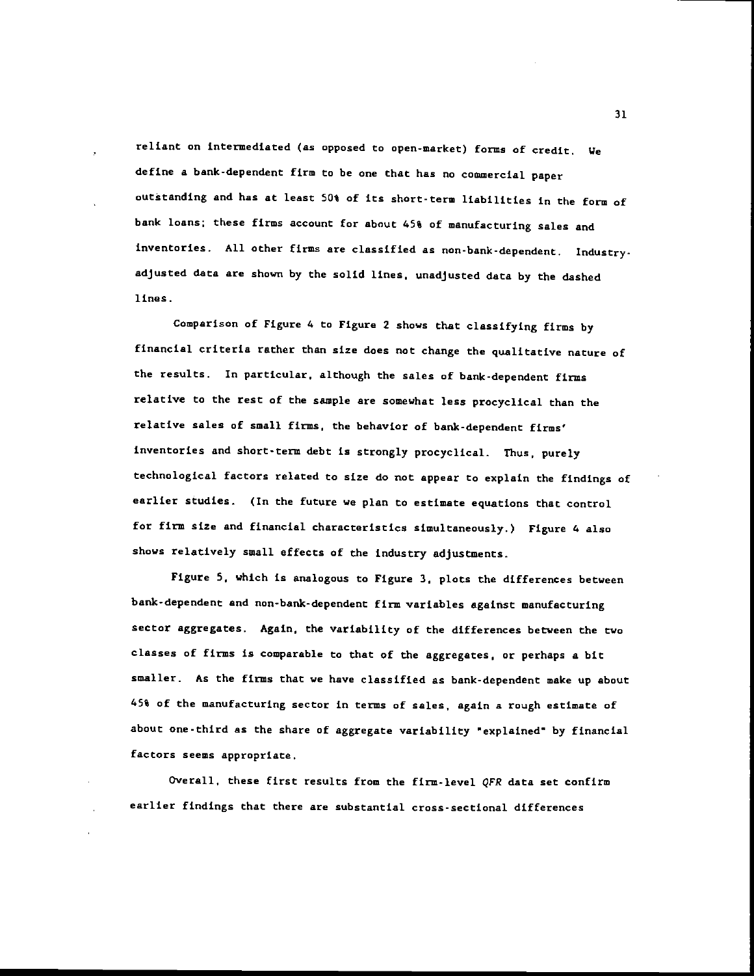reliant on intermediated (as opposed to open-market) forms of credit. We define a bank-dependent firm to be one that has no commercial paper outstanding and has at least 50% of its short-term liabilities in the form of bank loans; these firms account for about 45% of manufacturing sales and inventories. All other firms are classified as non-bank-dependent, Industryadjusted data are shown by the solid lines, unadjusted data by the dashed lines.

Comparison of Figure 4 to Figure 2 shows that classifying firms by financial criteria rather than size does not change the qualitative nature of the results. In particular, although the sales of bank-dependent firms relative to the rest of the sample are somewhat less procyclical than the relative sales of small firms, the behavior of bank-dependent firms' inventories and short-term debt is strongly procyclical. Thus, purely technological factors related to size do not appear to explain the findings of earlier studies. (In the future we plan to estimate equations that control for firm size and financial characteristics simultaneously.) Figure 6 also shows relatively small effects of the industry adjustments.

Figure 5, which is analogous to Figure 3, plots the differences between bank-dependent and non-bank-dependent firm variables against manufacturing sector aggregates. Again, the variability of the differences between the two classes of fins is comparable to that of the aggregates, or perhaps a bit smaller. As the firms that we have classified as bank-dependent make up about 45% of the manufacturing sector in terms of sales, again a rough estimate of about one-third as the share of aggregate variability "explained" by financial factors seems appropriate.

Overall, these first results from the firm-level QFR data set confirm earlier findings that there are substantial cross-sectional differences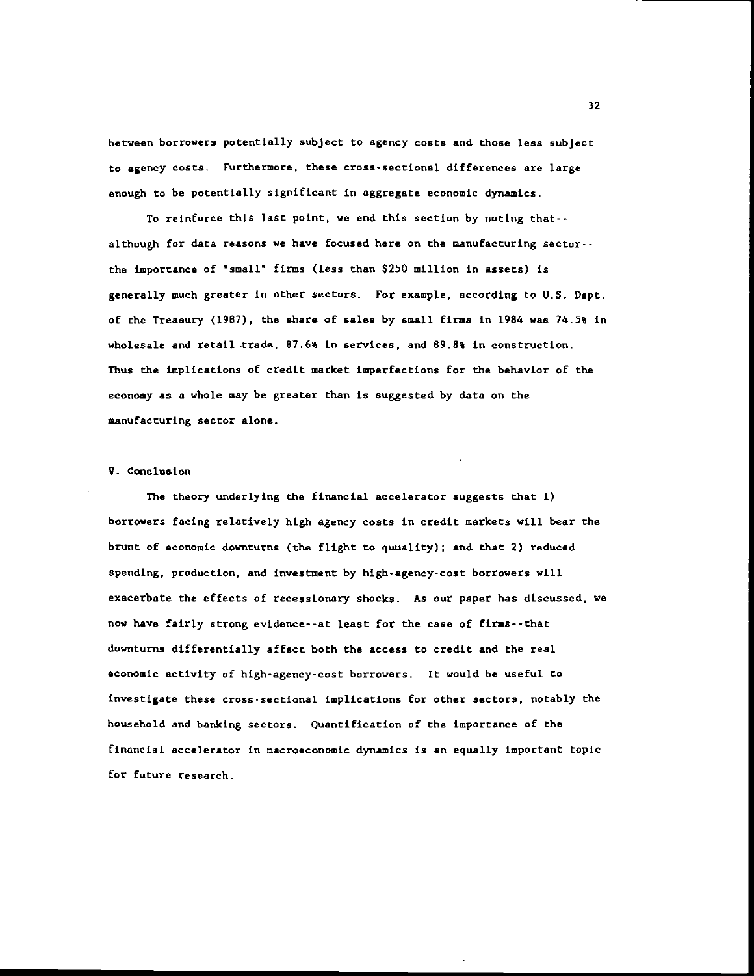between borrowers potentially subject to agency costs and those less subject to agency costs. Furthermore, these cross-sectional differences are large enough to be potentially significant in aggregate economic dynamics.

To reinforce this last point, we end this section by noting that- although for data reasons we have focused here on the manufacturing sector- the importance of "small" firms (less than \$250 million in assets) is generally much greater in other sectors. For example, according to U.S. Dept. of the Treasury (1967), the share of sales by small firms in 1984 was 74.5% in wholesale and retail trade, 87.6% in services, and 89.8% in construction. Thus the implications of credit market imperfections for the behavior of the economy as a whole may be greater than is suggested by data on the manufacturing sector alone.

## V. Conclusion

The theory underlying the financial accelerator suggests that 1) borrowers facing relatively high agency costs in credit markets will bear the brunt of economic downturns (the flight to quuality); and that 2) reduced spending, production, and investment by high-agency-cost borrowers will exacerbate the effects of recessionary shocks. As our paper has discussed, we now have fairly strong evidence- -at least for the case of firms- - that downturns differentially affect both the access to credit and the real economic activity of high-agency-cost borrowers. It would be useful to investigate these cross-sectional implications for other sectors, notably the household and banking sectors. Quantification of the importance of the financial accelerator in macroeconomic dynamics is an equally important topic for future research.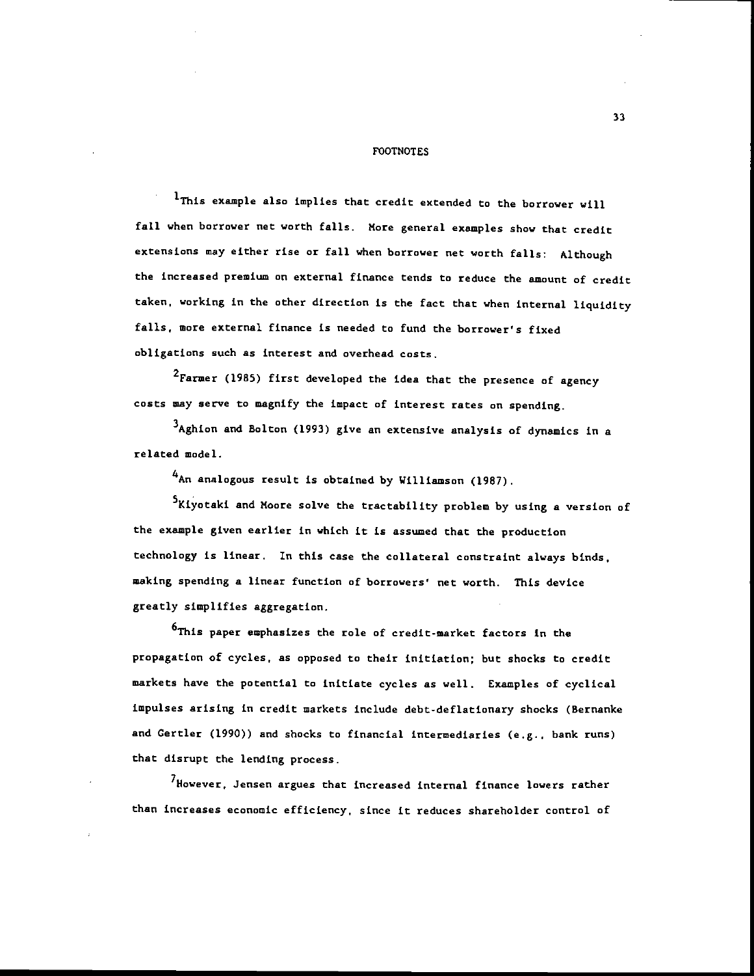#### FOOTNOTES

'This example also implies that credit extended to the borrower will fall when borrower net worth falls. More general examples show that credit extensions may either rise or tall when borrower net worth falls: Although the increased premium on external finance tends to reduce the amount of credit taken, working in the other direction is the fact that when internal liquidity falls, more external finance is needed to fund the borrower's fixed obligations such as interest and overhead costs.

2Farmer (1985) first developed the idea that the presence of agency costs way serve to magnify the impact of interest rates on spending.

3Aghion and Bolton (1993) give an extensive analysis of dynamics in a related model.

'An analogous result is obtained by Williamson (1967).

5Kiyotaki and Moore solve the tractability problem by using a version of the example given earlier in which it is assumed that the production technology is linear. In this case the collateral constraint always binds, making spending a linear function of borrowers' net worth. This device greatly simplifies aggregation.

6This paper emphasizes the role of credit-market factors in the propagation of cycles, as opposed to their initiation; but shocks to credit markets have the potential to initiate cycles as well. Examples of cyclical impulses arising in credit markets include debt-deflationary shocks (Bernanke and Certler (1990)) and shocks to financial intermediaries (e.g.. bank runs) that disrupt the lending process.

<sup>7</sup>However, Jensen argues that increased internal finance lowers rather than increases economic efficiency, since it reduces shareholder control of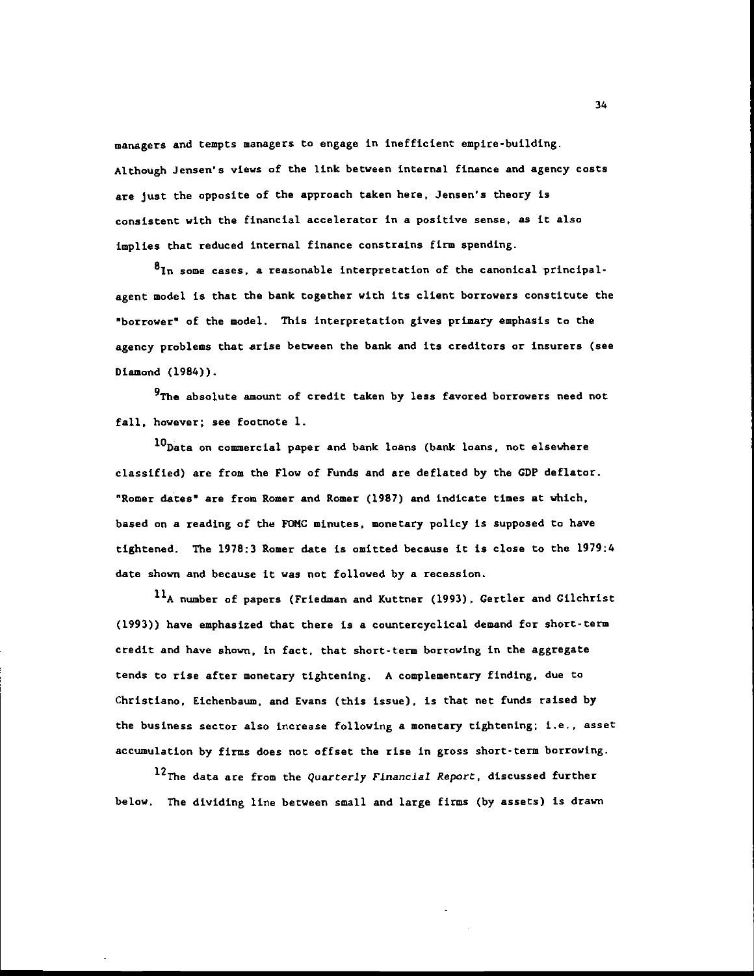managers and tempts managers to engage in inefficient empire-building. Although Jensen's views of the link between internal finance and agency costs are just the opposite of the approach taken here, Jensen's theory is consistent with the financial accelerator in a positive sense, as it also implies that reduced internal finance constrains firm spending.

81n some cases, a reasonable interpretation of the canonical principalagent model is that the bank together with its client borrowers constitute the "borrower" of the model. This interpretation gives primary emphasis to the agency problems that arise between the bank and its creditors or insurers (see Diamond (1984)).

 $9$ The absolute amount of credit taken by less favored borrowers need not fall, however; see footnote 1.

10 Data on commercial paper and bank loans (bank loans, not elsewhere classified) are from the Flow of Funds and are deflated by the GDP deflator. "Romer dates" are from Romer and Romer (1987) and indicate times at which, based on a reading of the FUNC minutes, monetary policy is supposed to have tightened. The 1978:3 Romer date is omitted because it is close to the 1919:4 date shown and because it was not followed by a recession.

 $11_A$  number of papers (Friedman and Kuttner (1993), Gertler and Gilchrist (1993)) have emphasized that there is a countercyclical demand for short-term credit and have shown, in fact, that short-term borrowing in the aggregate tends to rise after monetary tightening. A complementary finding, due to Christiano, Eichenbaum, and Evans (this issue), is that net funds raised by the business sector also increase following a monetary tightening; i.e., asset accumulation by firms does not offset the rise in gross short-term borrowing.

12The data are from the Quarterly Financial Report, discussed further below. The dividing line between small and large firms (by assets) is drawn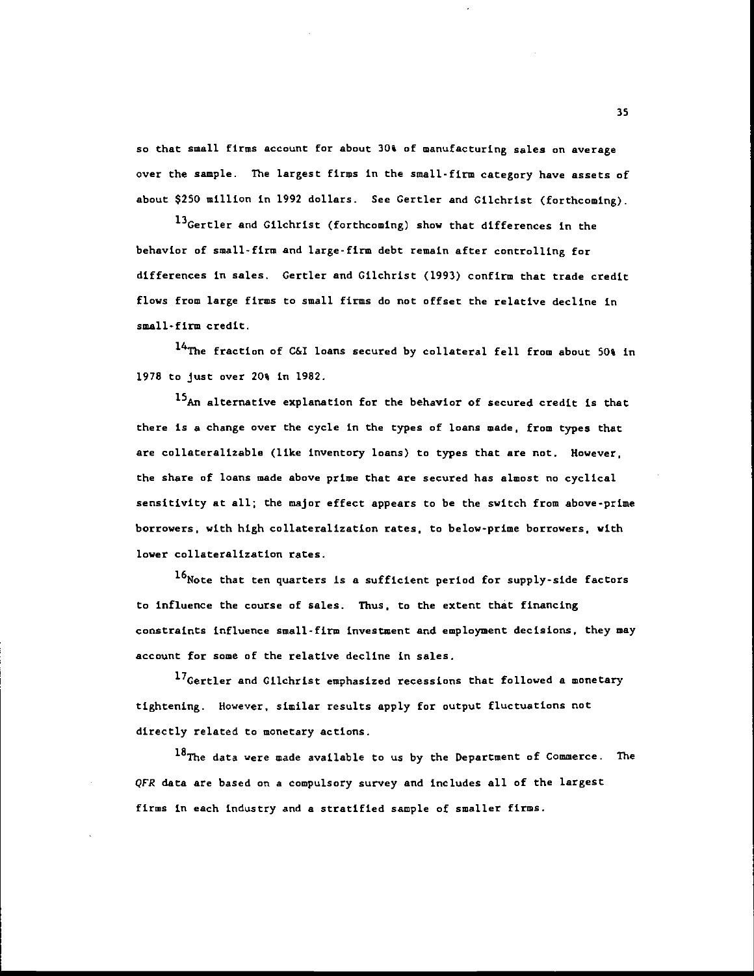so that small firms account for about 30% of manufacturing sales on average over the sample. The largest firms in the small-firm category have assets of about \$250 million in 1992 dollars. See Certler and Cilchrist (forthcoming).

13 Gertler and Gilchrist (forthcoming) show that differences in the behavior of small-firm and large-firm debt remain after controlling for differences in sales. Certler and Gilchrist (1993) confirm that trade credit flows from large firms to small firms do not offset the relative decline in small-firm credit.

<sup>14</sup>The fraction of C&I loans secured by collateral fell from about 50% in 1978 to just over 20% in 1982.

15<sub>An</sub> alternative explanation for the behavior of secured credit is that there is a change over the cycle in the types of loans wade, from types that are collateralizable (like inventory loans) to types that are not. However, the share of loans made above prime that are secured has almost no cyclical sensitivity at all; the major effect appears to be the switch from above-prime borrowers, with high collateralization rates, to below-prime borrowers, with lower collateralization rates.

16Note that ten quarters is a sufficient period for supply-side factors to influence the course of sales. Thus, to the extent that financing constraints influence small-firm investment and employment decisions, they may account for some of the relative decline in sales.

17Gertler and Gilchrist emphasized recessions that followed a monetary tightening. However, similar results apply for output fluctuations not directly related to monetary actions.

18The data were made available to us by the Department of Commerce. The QFR data are based on a compulsory survey and includes all of the largest firms in each industry and a stratified sample of smaller firms.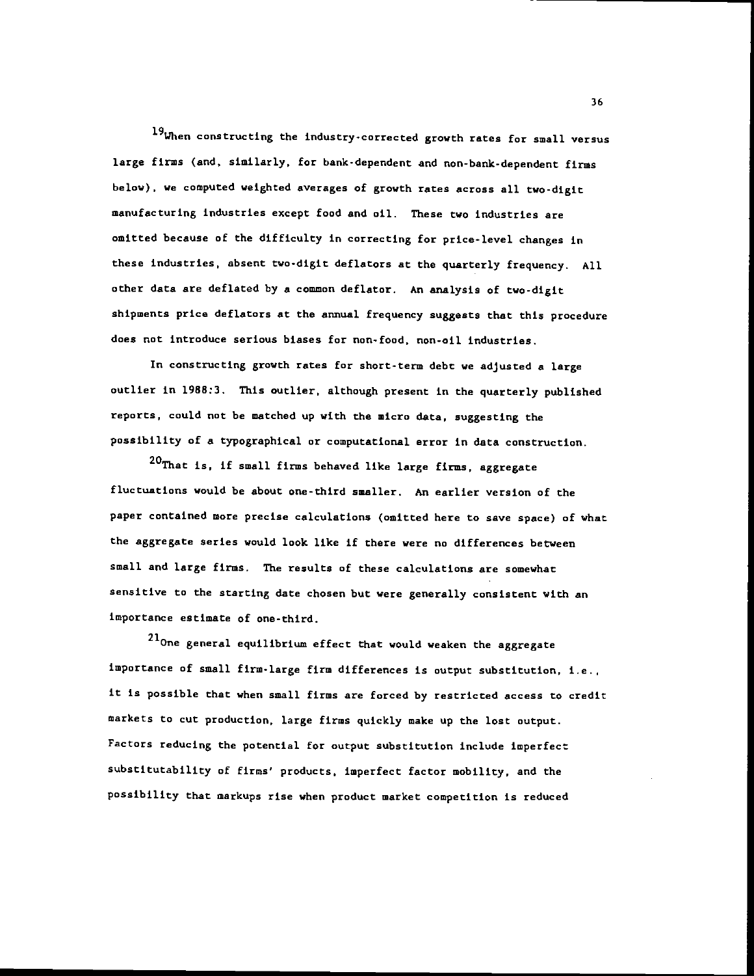19When constructing the industry-corrected growth rates for small versus large firms (and, similarly, for bank-dependent and non-bank-dependent firms below), we computed weighted averages of growth rates across all two-digit manufacturing industries except food and oil. These two industries are omitted because of the difficulty in correcting for price-level changes in these industries, absent two-digit deflators at the quarterly frequency. All. other data are deflated by a common deflator. An analysis of two-digit shipments price deflators at the annual frequency suggests that this procedure does not introduce serious biases for non-food, non-oil industries.

In constructing growth rates for short-term debt we adjusted a large outlier in 1988:3. This outlier, although present in the quarterly published reports, could not be matched up with the micro data, suggesting the possibility of a typographical or computational error in data construction.

20That is, if small firms behaved like large firms, aggregate fluctuations would be about one-third smaller. An earlier version of the paper contained more precise calculations (omitted here to save space) of what the aggregate series would look like if there were no differences between small and large firms. The results of these calculations are somewhat sensitive to the starting date chosen but were generally consistent with an importance estimate of one-third.

 $^{21}$ One general equilibrium effect that would weaken the aggregate importance of small firm-large firm differences is output substitution, i.e., It Is possible that when small firms are forced by restricted access to credit markets to cut production, large firms quickly make up the lost output. Factors reducing the potential for output substitution include imperfect substitutability of firms' products, imperfect factor mobility, and the possibility that markups rise when product market competition is reduced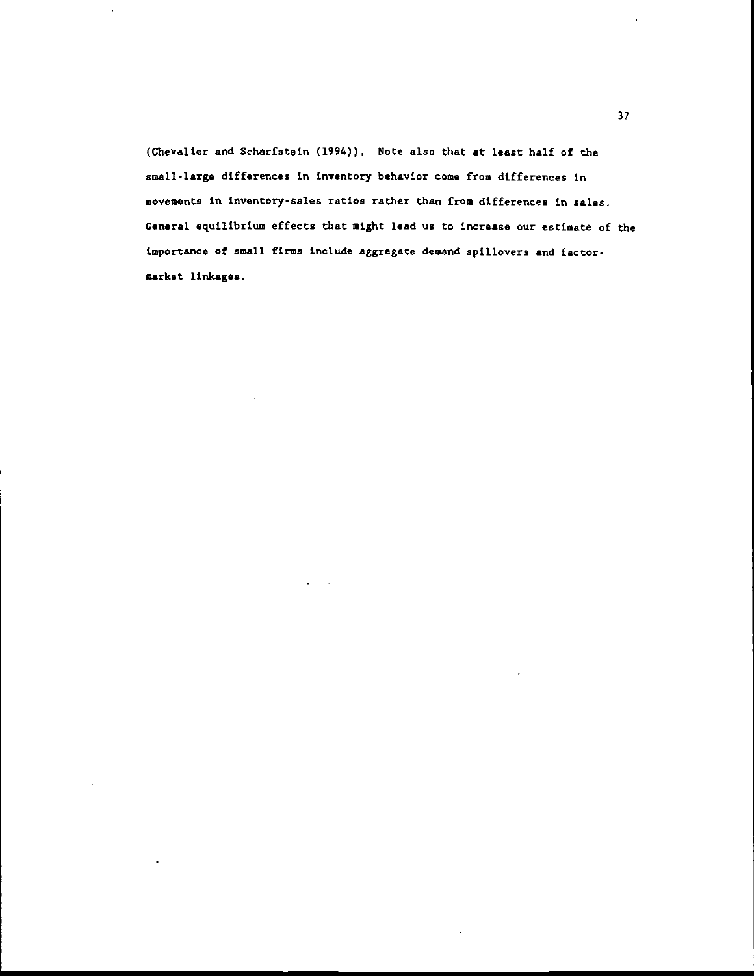(Chevalier and Scharfstein (1994)). Note also that at least half of the small-large differences in inventory behavior come from differences in movements in inventory-sales ratios rather than from differences in sales. General equilibrium effects that might lead us to increase our estimate of the importance of small firms include aggregate demand spillovers and factormarket linkages.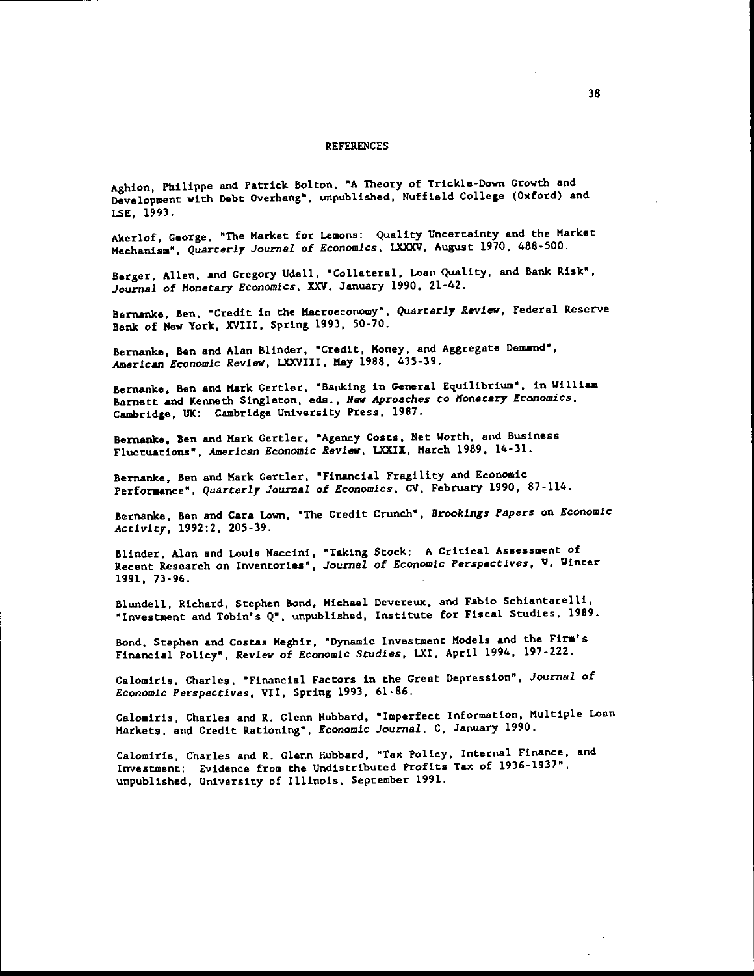#### **REFERENCES**

Aghion. Philippe and Patrick Bolcon, "A Theory of Trickle-Down Growth and Development with Debt Overhang', unpublished, Nuffield College (Oxford) and LSE, 1993.

Akerlof. George. 'The Market for Lemons: Quality Uncertainty and the Market Mechanism". Quarterly Journal of Economics. LXXXV, August 1970, 488-500.

Berger, Allen. and Gregory Udell, "Collateral, Loan Quality, and Bank Risk", Journal of Monetary Economics, XXV, January 1990, 21-42.

Bernanke, Ben, "Credit in the Macroeconomy". Quarterly Review, Federal Reserve Bank of New York, XVIII, spring 1993, 50-70.

Bernanke, Ben and Alan Blinder. "Credit, Money, and Aggregate Demand", American Economic Review, LXXVIII, Nay 1988, 435-39.

Bernanke, Ben and Mark Certler, "Banking in General Equilibrium", in William Barnett and Kenneth Singleton, eds., New Aproaches to Monetary Economics. Cambridge, UK: Cambridge University Press. 1987.

Bernanke, Ben and Mark Certler, "Agency Costs, Net Worth, and Business Fluctuations", American Economic Review, LXXIX, March 1989, 14-31.

Bernanke, Ben and Mark Certler, "Financial Fragility and Economic Performance", Quarterly Journal of Economics, CV, February 1990, 87-114.

Bernanke, Ben and Cara Lown, "The Credit Crunch", Brookings Papers on Economic Activity, 1992:2, 205-39.

Blinder, Alan and Louis Maccini, Taking Stock: A Critical Assessment of Recent Research on Inventories", Journal of Economic Perspectives. V, Winter 1991, 13-96.

Blundell, Richard, Stephen Bond, Michael Devereux, and Fabio Schiantarelli, "Investment and Tobin's Q", unpublished, Institute for Fiscal Studies. 1989.

Bond, Stephen and Costas Meghir, "Dynamic Investment Models and the Firm's Financial Policy". Review of Economic Studies, LXI, April 1994, 197-222.

Calomiris, Charles, "Financial Factors in the Great Depression". Journal of Economic Perspectives, vii, spring 1993, 61-86.

Calomiris, Charles and R. Glenn Hubbard, "Imperfect Information. Multiple Loan Markets, and Credit Rationing". Economic Journal, C, January 1990.

Calomiris, Charles and R. Glenn Hubbard, "Tax Policy. Internal Finance, and Investment: Evidence from the Undistributed Profits Tax of 1936-1937", unpublished, University of Illinois, September 1991.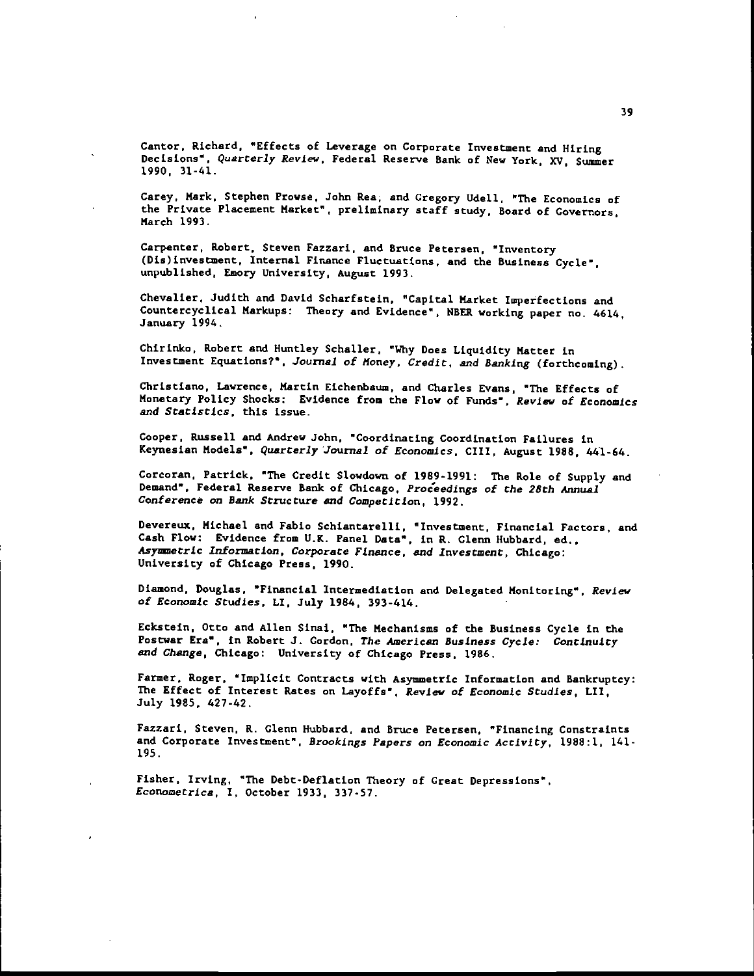Cantor. Richard, "Effects of Leverage on Corporate Investment and Hiring Decisions", Quarterly Review, Federal Reserve Bank of New York, XV, Summer 1990, 31-41.

Carey, Hark, Stephen Prowse, John Rea, and Gregory Udell, "The Economics of the Private Placement Market", preliminary staff study, Board of Governors, March 1993.

Carpenter, Robert, Steven Fazzari, and Bruce Petersen, "Inventory (Dis)investment, Internal Finance Fluctuations, and the Business Cycle". unpublished, Emory University. August 1993.

Chevalier, Judith and David Scharfstein, "Capital Market Imperfections and Countercyclical Markups: Theory and Evidence" • NEER working paper no. 4614, January 1994.

Chirinko, Robert and Huntley Schaller, "Why Does Liquidity Matter in Investment Equations?', Journal of Money, Credit, and Banking (forthcoming).

Christiano, Lawrence, Martin Eichenbaum, and Charles Evans, "The Effects of Monetary Policy Shocks: Evidence from the Flow of Funds". Review of Economics and Statistics, this issue.

Cooper, Russell and Andrew John, "Coordinating Coordination Failures in Keynesian Models", Quarterly Journal of Economics, CIII, August 1988, 441-64.

Corcoran, Patrick, 'The Credit Slowdown of 1989-1991: The Role of Supply and Demand', Federal Reserve Bank of Chicago, Proceedings of the 28th Annual Conference on Bank Structure and Competition, 1992.

Devereux, Michael and Fabio Schiantarelli, "Investment, Financial Factors, and Cash Flow: Evidence from U.K. Panel Data", in R. Glenn Hubbard, ed., Asynsetric Information, Corporate Finance, and Investment, Chicago: University of Chicago Press, 1990.

Diamond, Douglas, "Financial Intermediation and Delegated Monitoring", Review of Economic Studies, LI, July 1984, 393-414.

Eckstein, Otto and Allen Sinai, "The Mechanisms of the Business Cycle in the Postwar Era", in Robert 3. Cordon, The American Business Cycie: Continuity and Change, Chicago: University of Chicago Press, 1986.

Farmer, Roger, "Implicit Contracts with Asymmetric Information and Bankruptcy: The Effect of Interest Rates on Layoffs", Review of Economic Studies, LII, July 1985, 427-42.

Fazzari, Steven, R. Glenn Hubbard, and Bruce Petersen, "Financing Constraints and Corporate Investment", Brookings Papers on Economic Activity, 1988:1, 141- 195.

Fisher, Irving, "The Debt-Deflation Theory of Great Depressions", Econometrica, I, October 1933, 337-57.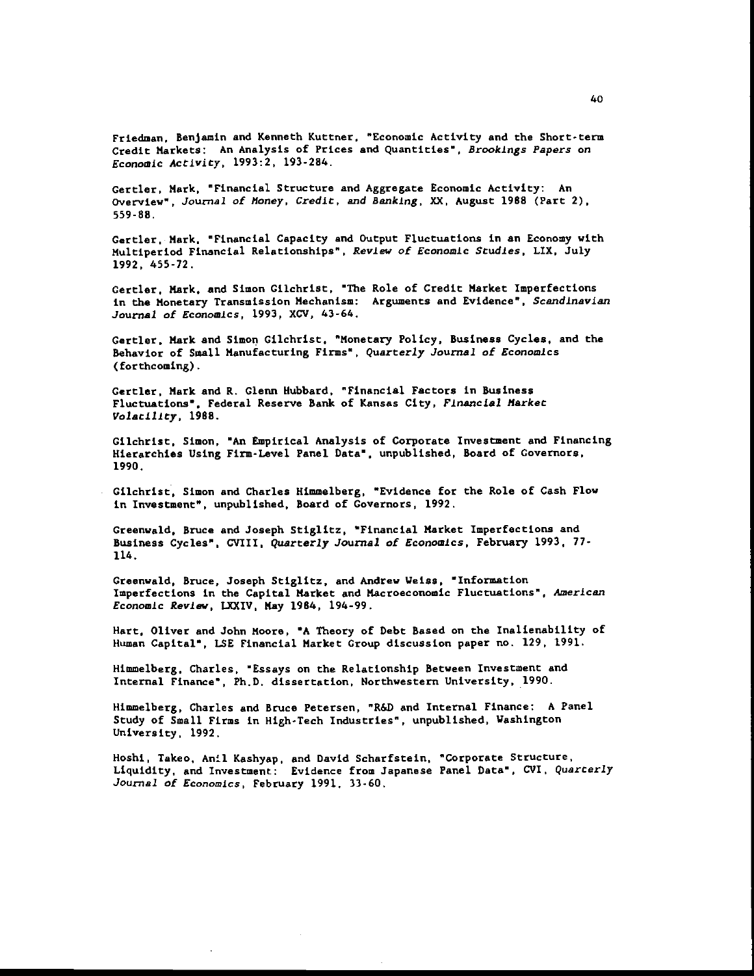Friedman. Benjamin and Kenneth Kuttner, "Economic Activity and the Short-term Credit Markets: An Analysis of Prices and Quantities", Brookings Papers on Economic Activity, 1993:2, 193-284.

Certler, Mark, "Financial Structure and Aggregate Economic Activity: An overview", Journal of Money. Credit, and Banking, XX, August 1988 (Part 2), 559-88.

Certler, Mark, "Financial Capacity and Output Fluctuations in an Economy with Multiperiod Financial Relationships", Review of Economic Studies, LIX, July 1992. 455-72,

Certler, Mark, and Simon Cilchrist, The Role of Credit Market Imperfections in the Monetary transmission Mechanism: Arguments and Evidence", Scandinavian Journal of Economics, 1993, XCV, 43-64.

Gertler, Mark and Simon Gilchrist, "Monetary Policy. Business Cycles, and the Behavior of Small Manufacturing Firms", Quarterly Journal of Economics (forthcoming).

Gertler, Mark and K. Glenn Hubbard, "Financial Factors in Business Fluctuations", Federal Reserve Bank of Kansas City, Financial Market VolatilIty, 1988.

Cilchrist, Simon, "An Empirical Analysis of Corporate Investment and Financing Hierarchies Using Firm-Level Panel Data", unpublished, Board of Governors, 1990.

Cilchrist, Simon and Charles Himmelberg, "Evidence for the Role of Cash Flow in Investment", unpublished, Board of Governors, 1992.

Greenwald, Bruce and Joseph Stiglitz, "Financial Market Imperfections and Business Cycles". CVIII, Quarterly Journal of Economics, February 1993, 77- 114.

Greenwald, Bruce, Joseph Stiglitz, and Andrew Weiss, "Information Imperfections in the Capital Market and Macroeconomic Fluctuations". American Economic Review, LXXIV, May 1984, 194-99.

Hart, Oliver and John Moore, "A Theory of Debt Based on the Inalienability of Human Capital", LSE Financial Market Croup discussion paper no. 129, 1991.

Himmelberg, Charles, "Essays on the Relationship Between Investment and Internal Finance" • Ph.D. dissertation, Northwestern university. 1990.

Himmelberg, Charles and Bruce Petersen, "R&D and internal Finance: A Panel Study of Small Firms in High-Tech Industries", unpublished. Washington University. 1992.

Hoshi, Takeo, Anil Kashyap, and David Scharfstein, "Corporate Structure, Liquidity, and Investment: Evidence from Japanese Panel Data", CVI, Quarterly .Journal of Economics, February 1991, 33-60.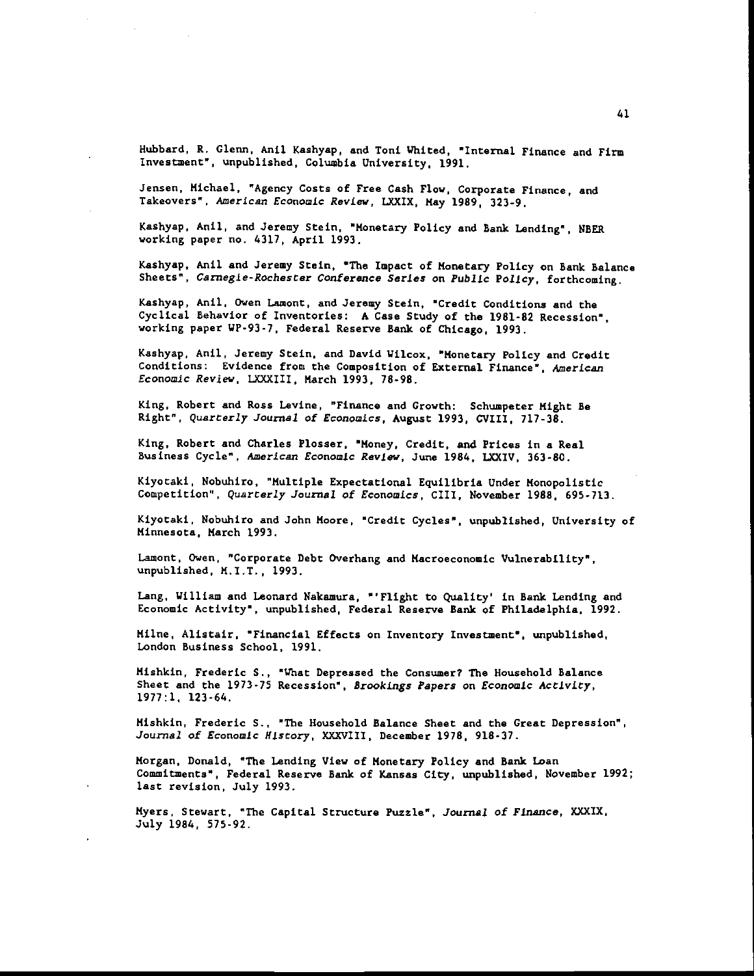Hubbard, R. Glenn, Anil Kashyap, and Toni Whited, "Internal Finance and Firm Investment", unpublished, Columbia University, 1991.

Jensen, Michael, "Agency Costs of Free Cash Flow, Corporate Finance, and Takeovers", American Economic Review, LXXIX, May 1989, 323-9.

Kashyap, Anil, and Jeremy Stein, "Monetary Policy and Bank Lending", NBER working paper no. 4317, April 1993.

Kashyap, Anil and Jeremy Stein, 'The Impact of Monetary Policy on Bank Balance Sheets", Carnegie-Rochester Conference Series on Public Policy, forthcoming.

Kashyap, Anil, Owen Lamont, and Jeremy Stein, "Credit Conditions and the Cyclical Behavior of Inventories: A Case Study of the 1981-82 Recession", working paper WP-93-7, Federal Reserve Bank of Chicago, 1993.

Kashyap, Anil, Jeremy Stein, and David Wilcox, "Monetary Policy and Credit Conditions: Evidence from the Composition of External Finance", American Economic Review, LXXXIII, March 1993, 78-98.

King, Robert and Ross Levine, "Finance and Growth: Schuapeter Might Be Right", Quarterly Journal of Economics, August 1993, CVIII, 717-38.

King. Robert and Charles Plosser, "Money, Credit, and Prices in a Real Business Cycle", American Economic Review, June 1984, LXXIV, 363-80.

Ktyotaki, Nobuhiro, "Multiple Expectational Equilibria Under Monopolistic Competition", Quarterly Journal of Economics, CIII, November 1988, 695-713.

Kiyotaki, Nobuhiro and John Moore, "Credit Cycles", unpublished, University of Minnesota, March 1993.

Lamont, Owen, "Corporate Debt Overhang and Macroeconomic Vulnerability", unpublished, M.I.T., 1993.

Lang, William and Leonard Nakamura, "'Flight to Quality' in Bank Lending and Economic Activity", unpublished, Federal Reserve Bank of Philadelphia, 1992.

Mime, Alistair, "Financial Effects on Inventory Investment", unpublished, London Business School, 1991.

Mishkin, Frederic S., "What Depressed the Consumer? The Household Balance Sheet and the 1973-75 Recession", Brookings Papers on Economic Activity, 1977:1, 123-64.

Mishkin, Frederic S., "The Household Balance Sheet and the Great Depression", Journal of Economic History, XXXVIII, December 1978, 918-37.

Morgan, Donald, "The Lending View of Monetary Policy and Bank Loan Commitments", Federal Reserve Bank of Kansas City, unpublished, November 1992; last revision, July 1993.

Myers, Stewart, "The Capital Structure Puzzle", Journal of Finance, XXXIX, July 1984, 575-92.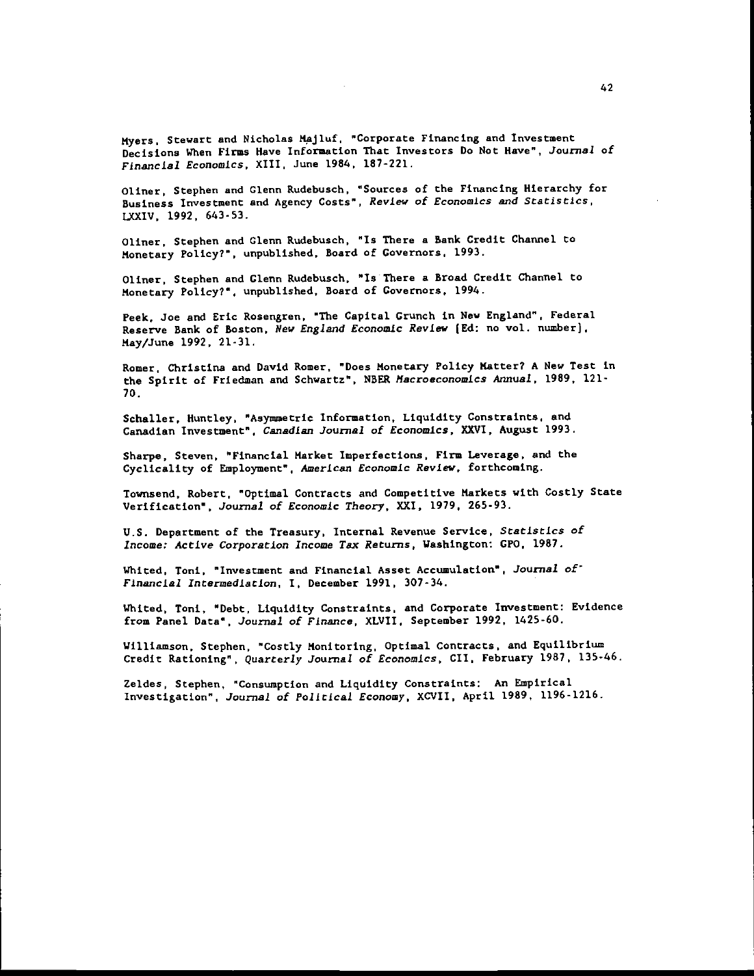Myers, Stewart and Nicholas Majluf, "Corporate Financing and Investment Decisions When Firms Have Information That Investors Do Not Have", Journal of Financial Economics, XIII, June 1984, 187-221.

Oliner, Stephen and Glenn Rudebusch, "Sources of the Financing Hierarchy for Business Investment and Agency Costs", Review of Economics and Statistics, LXXIV, 1992. 643-53.

Oliner, Stephen and Glenn Rudebusch, "Is There a Bank Credit Channel to Monetary Policy?", unpublished. Board of Governors, 1993.

Oliner, Stephen and Glenn Rudebusch, "Is There a Broad Credit Channel to Monetary Policy?", unpublished. Board of Governors, 1994.

Peek, Joe and Eric Rosengren, "The Capital Crunch in New England". Federal Reserve Bank of Boston. New England Economic Review lEd: no vol. number). May/June 1992, 21-31.

Romer, Christina and David Romer, "Does Monetary Policy Matter? A New Test in the Spirit of Friedman and Schwartz", NBER Macroeconomics Annual, 1989, 121-70.

Schaller, Huntley, "Asymmetric Information, Liquidity Constraints, and Canadian Investment", Canadian Journal of Economics, XXVI, August 1993.

Sharpe, Steven, "Financial Market Imperfections, Firm Leverage, and the Cyclicality of Employment", American Economic Review, forthcoming.

Townsend, Robert, "Optimal Contracts and Competitive Markets with Costly State Verification", Journal of Economic Theory, XXI, 1979, 265-93.

U.S. Department of the Treasury, Internal Revenue Service, Statistics of Incomet Active Corporation Income Tax Returns, Washington: GPO, 1987.

Whited, Toni, "Investment and Financial Asset Accumulation", Journal of Financial Intermediation, I, December 1991, 307-34.

Whited, Toni, "Debt, Liquidity Constraints, and Corporate Investment: Evidence from Panel Data", Journal of Finance, XLVII, September 1992, 1425-60.

Williamson, Stephen, "Costly Monitoring, Optimal Contracts, and Equilibrium Credit Rationing", Quarterly Journal of Economics, CII, February 1987, 135-46.

leldes, Stephen, "Consumption and Liquidity Constraints: An Empirical Investigation", Journal of Political Economy, XCVII, April 1989, 1196-1216.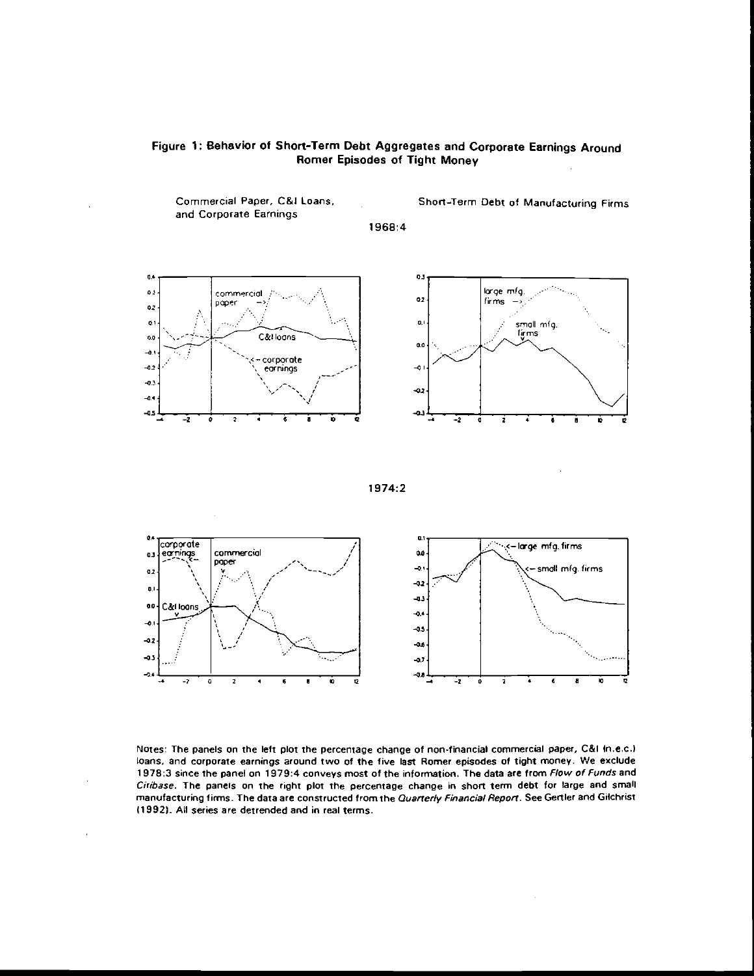



1974:2



Notes: The panels on the left plot the percentage change of non-financial commercial paper, C&l ln.e.c.l loans, and corporate earnings around two of the five last Rorner episodes of tight money. We exclude 1978:3 since the panel on 1979:4 conveys most of the information. The data are from Flow of Funds and Citibase. The panels on the right plot the percentage change in short term debt for large and small manufacturing firms. The data are constructed from the Quarterly Financial Report. See Gertler and Gilchrist (1992). All series are detrended and in real terms.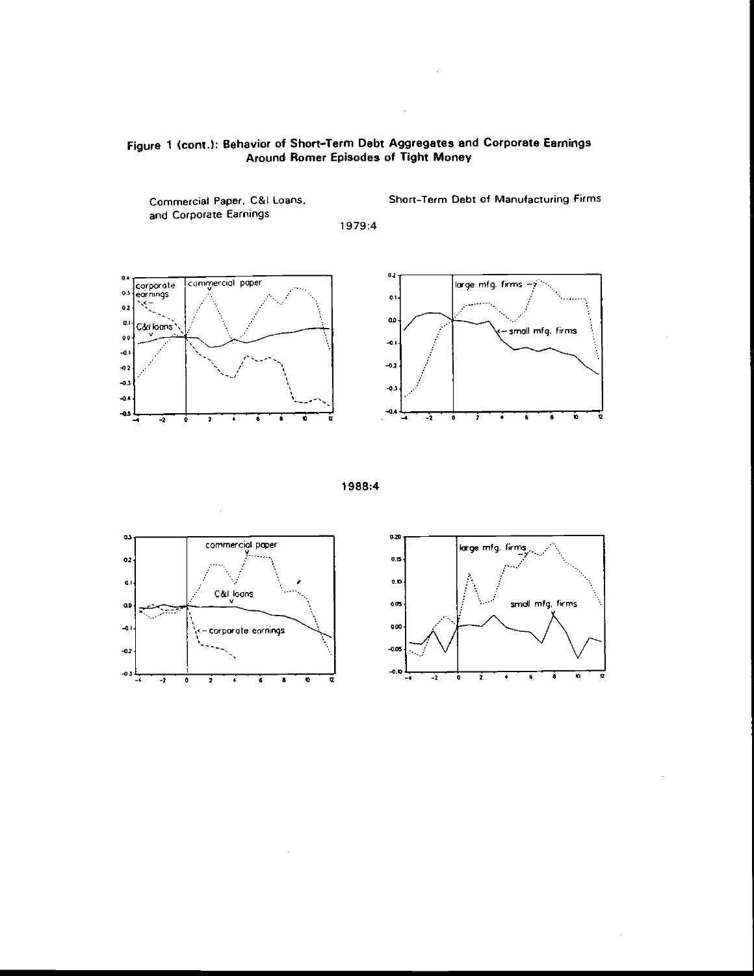

 $\bar{a}$ 

Commercial Paper. C&I Loans, and Corporate Earnings 1979:4 Short-Term Debt of Manufacturing Firms









 $\bar{z}$ 

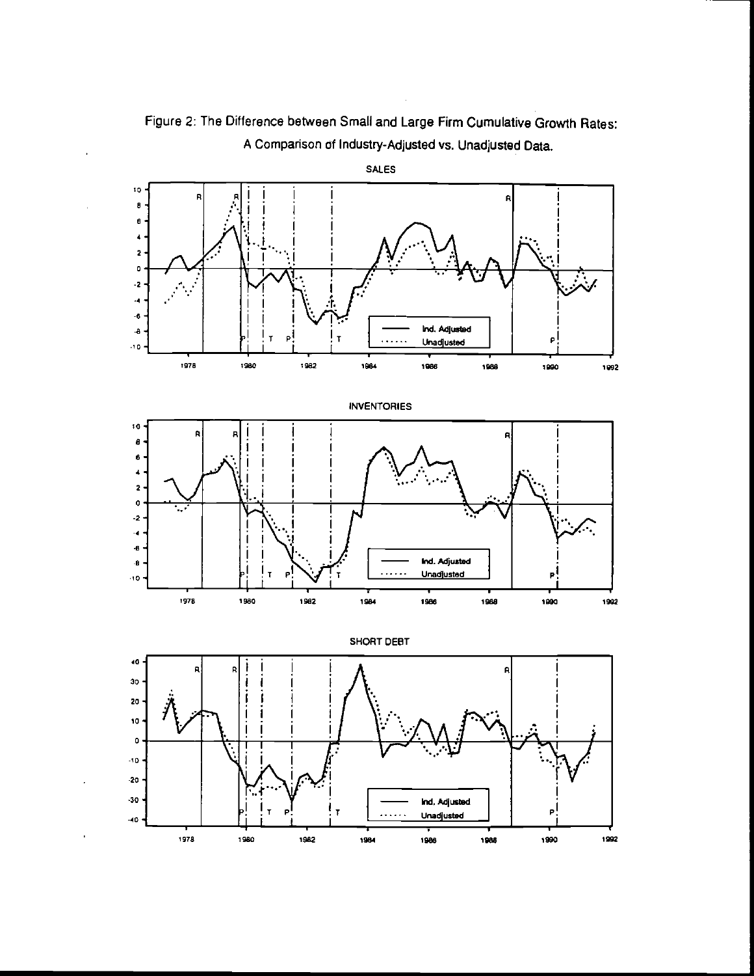

Figure 2: The Difference between Small and Large Firm Cumulative Growth Rates: A Comparison df Industry-Adjusted vs. Unadjusted Data.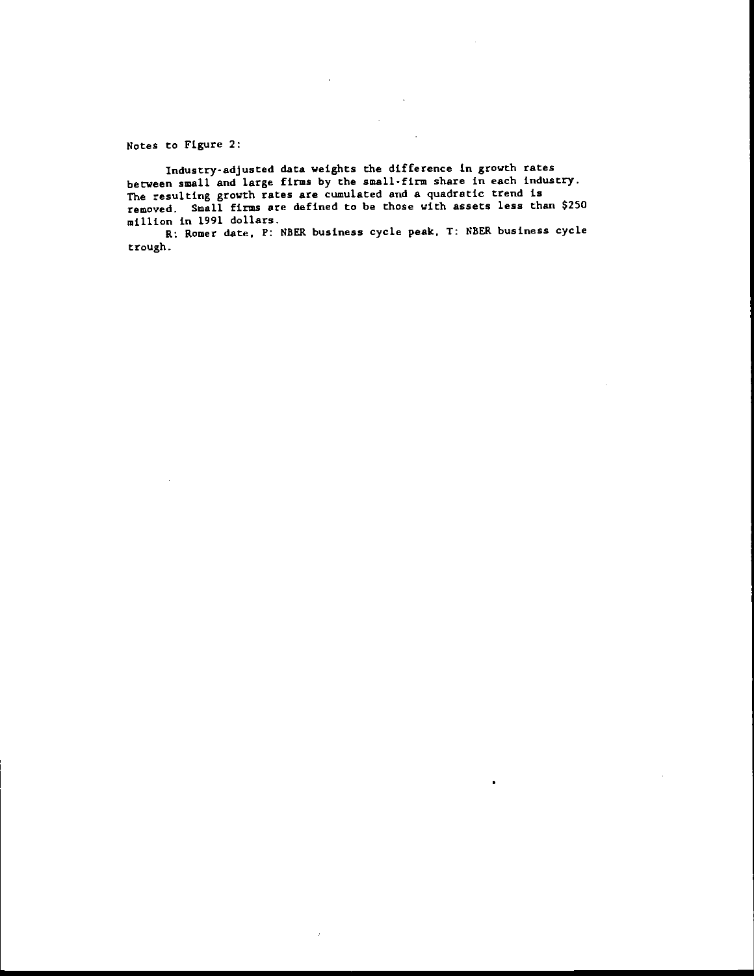Notes to Figure 2:

Industry-adjusted data weights the difference in growth rates between small and large firms by the small-firm share in each industry. The resulting growth rates are cumulated and a quadratic trend is removed. Small firms are defined to be those with assets less than \$250 million in 1991 dollars.

R: Romer date, P: NBER business cycle peak, T: NBER business cycle trough -

ı.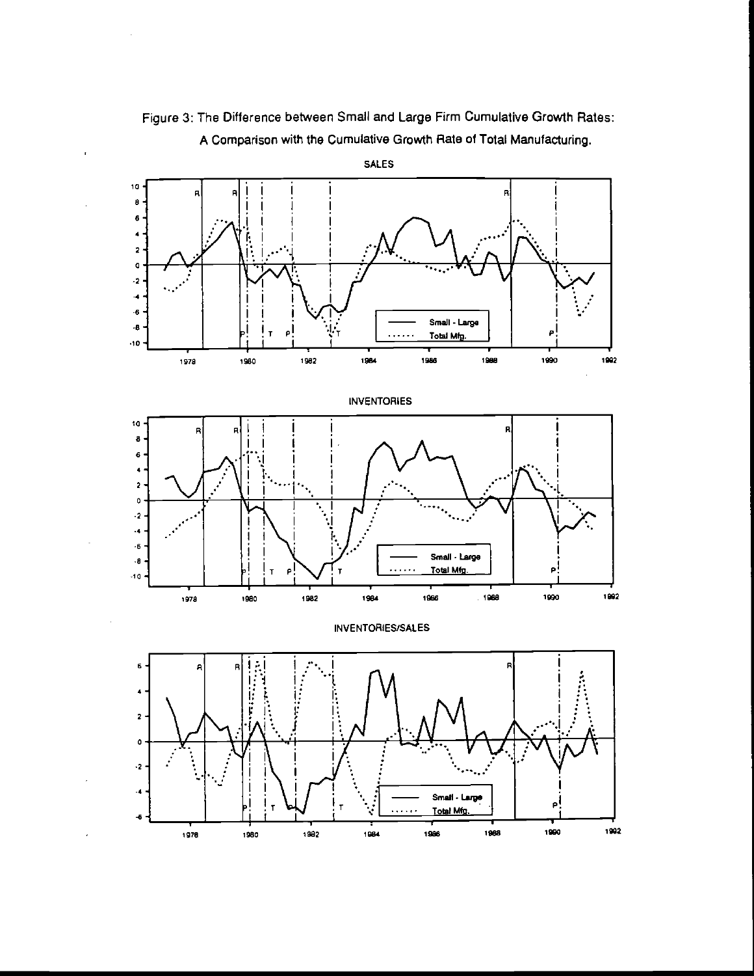





<sup>1918</sup> <sup>1980</sup> <sup>1982</sup> <sup>1984</sup> <sup>1986</sup> <sup>1988</sup> '990 <sup>1982</sup>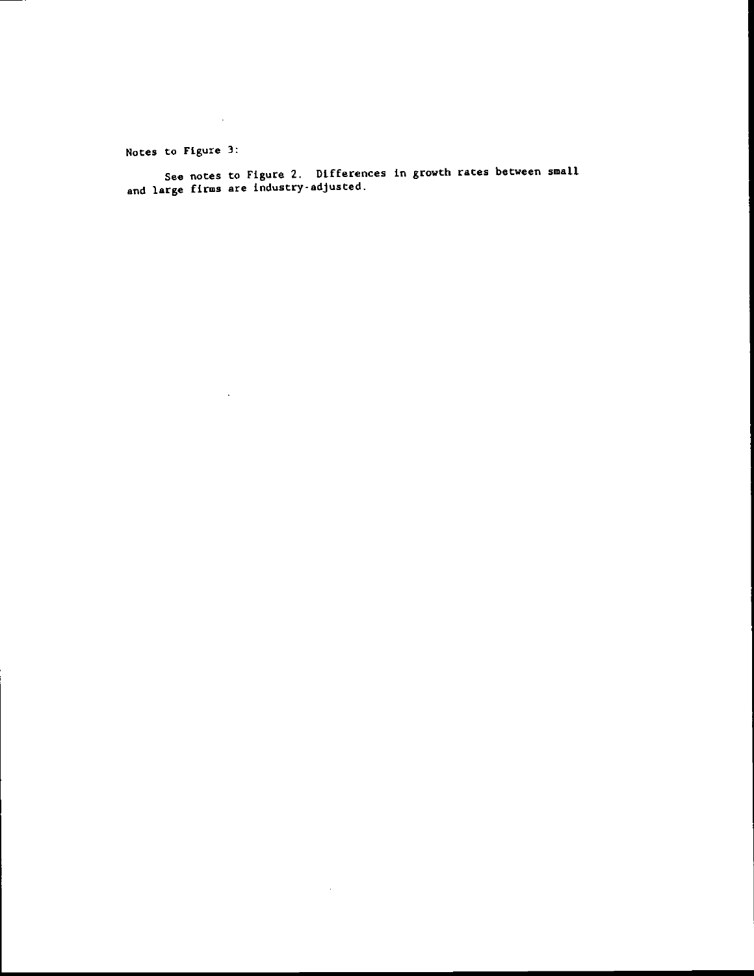Notes to Figure 3:

 $\sim 10^{-1}$ 

See notes to Figure 2. Differences in growth rates between smaLl and large firms are industry-adjusted.

 $\bar{\beta}$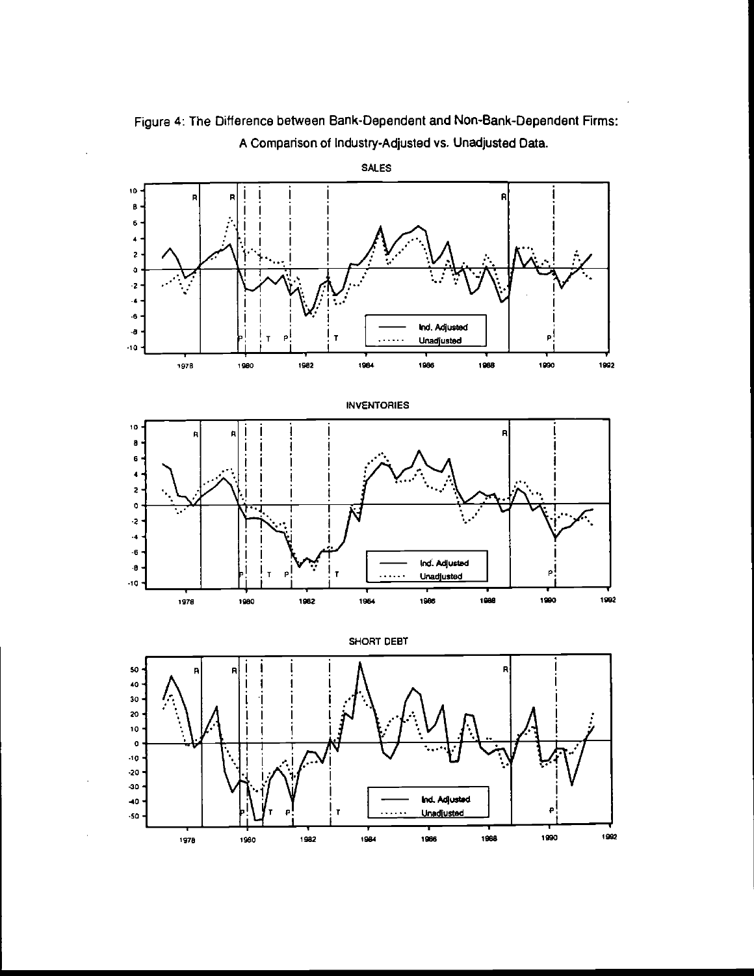

Figure 4: The Difference between Bank-Dependent and Non-Bank-Dependent Firms: A Comparison of Industry-Adjusted vs. Unadjusted Data.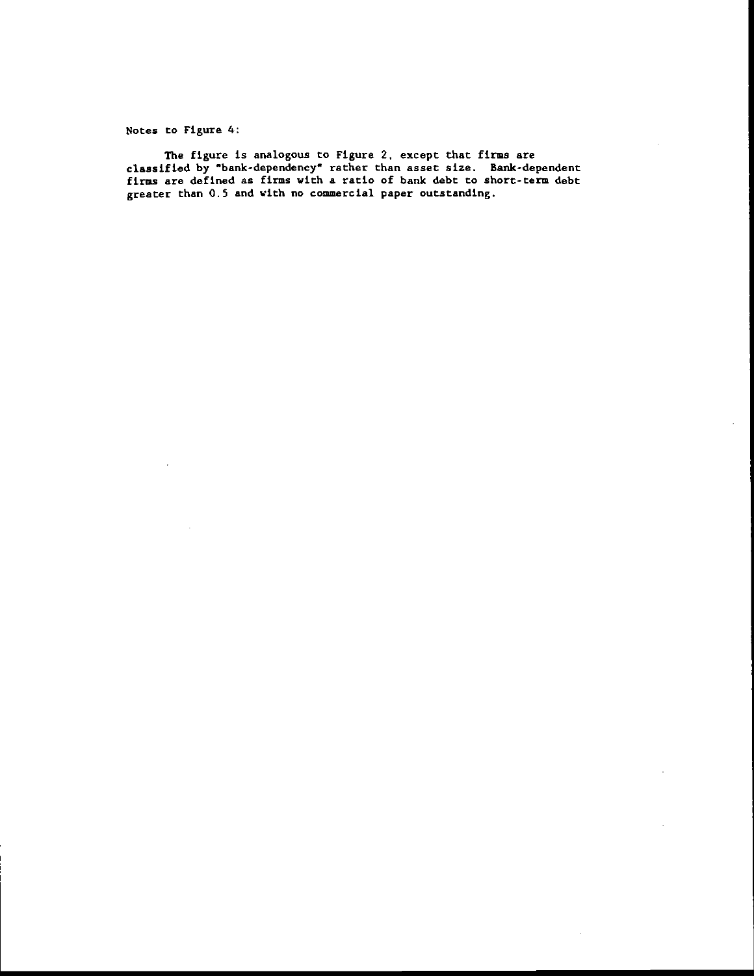Notes to Figure 4:

The figure is analogous to Figure 2, except that firms are classified by "bank-dependency" rather than asset size. Bank-dependent firms are defined as fins with a ratio of bank debt to short-term debt greater than 0.5 and with no commercial paper outstanding.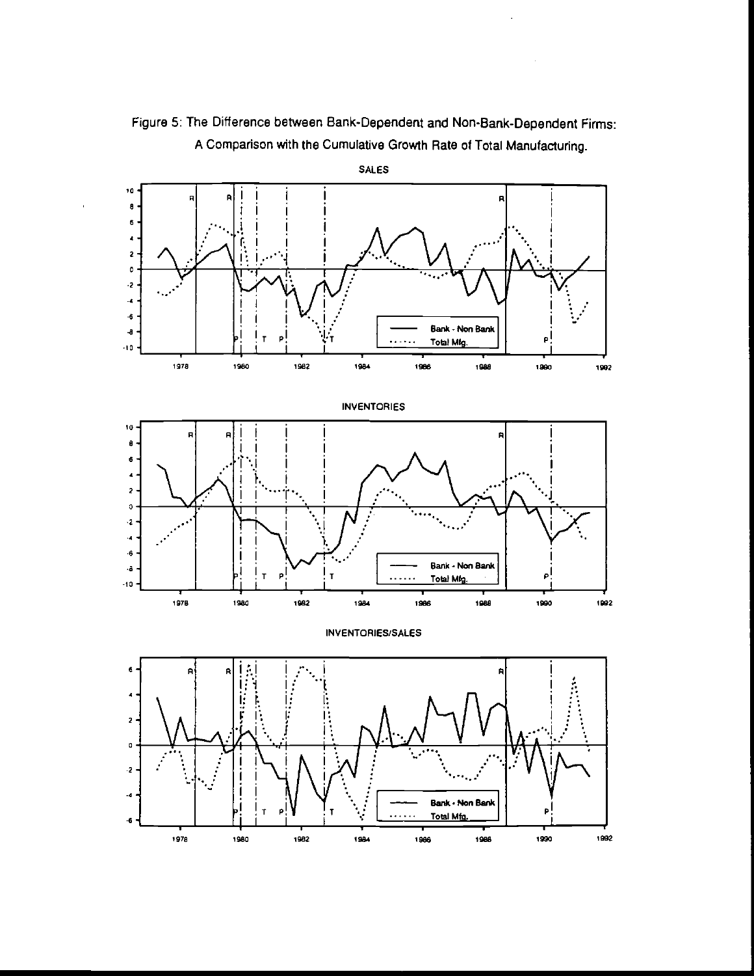

Figure 5: The Difference between Bank-Dependent and Non-Bank-Dependent Firms: A Comparison with the Cumulative Growth Rate of Total Manufacturing.